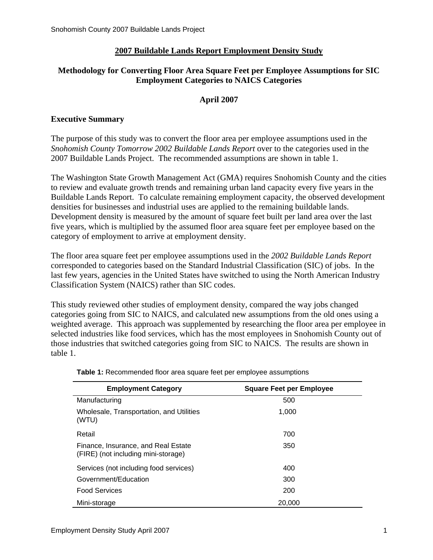## **2007 Buildable Lands Report Employment Density Study**

## **Methodology for Converting Floor Area Square Feet per Employee Assumptions for SIC Employment Categories to NAICS Categories**

## **April 2007**

#### **Executive Summary**

The purpose of this study was to convert the floor area per employee assumptions used in the *Snohomish County Tomorrow 2002 Buildable Lands Report* over to the categories used in the 2007 Buildable Lands Project. The recommended assumptions are shown in table 1.

The Washington State Growth Management Act (GMA) requires Snohomish County and the cities to review and evaluate growth trends and remaining urban land capacity every five years in the Buildable Lands Report. To calculate remaining employment capacity, the observed development densities for businesses and industrial uses are applied to the remaining buildable lands. Development density is measured by the amount of square feet built per land area over the last five years, which is multiplied by the assumed floor area square feet per employee based on the category of employment to arrive at employment density.

The floor area square feet per employee assumptions used in the *2002 Buildable Lands Report* corresponded to categories based on the Standard Industrial Classification (SIC) of jobs. In the last few years, agencies in the United States have switched to using the North American Industry Classification System (NAICS) rather than SIC codes.

This study reviewed other studies of employment density, compared the way jobs changed categories going from SIC to NAICS, and calculated new assumptions from the old ones using a weighted average. This approach was supplemented by researching the floor area per employee in selected industries like food services, which has the most employees in Snohomish County out of those industries that switched categories going from SIC to NAICS. The results are shown in table 1.

| <b>Employment Category</b>                                                 | <b>Square Feet per Employee</b> |  |
|----------------------------------------------------------------------------|---------------------------------|--|
| Manufacturing                                                              | 500                             |  |
| Wholesale, Transportation, and Utilities<br>(WTU)                          | 1,000                           |  |
| Retail                                                                     | 700                             |  |
| Finance, Insurance, and Real Estate<br>(FIRE) (not including mini-storage) | 350                             |  |
| Services (not including food services)                                     | 400                             |  |
| Government/Education                                                       | 300                             |  |
| <b>Food Services</b>                                                       | 200                             |  |
| Mini-storage                                                               | 20,000                          |  |

**Table 1:** Recommended floor area square feet per employee assumptions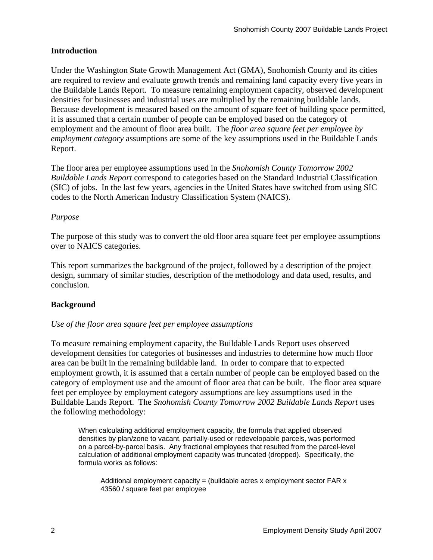## **Introduction**

Under the Washington State Growth Management Act (GMA), Snohomish County and its cities are required to review and evaluate growth trends and remaining land capacity every five years in the Buildable Lands Report. To measure remaining employment capacity, observed development densities for businesses and industrial uses are multiplied by the remaining buildable lands. Because development is measured based on the amount of square feet of building space permitted, it is assumed that a certain number of people can be employed based on the category of employment and the amount of floor area built. The *floor area square feet per employee by employment category* assumptions are some of the key assumptions used in the Buildable Lands Report.

The floor area per employee assumptions used in the *Snohomish County Tomorrow 2002 Buildable Lands Report* correspond to categories based on the Standard Industrial Classification (SIC) of jobs. In the last few years, agencies in the United States have switched from using SIC codes to the North American Industry Classification System (NAICS).

#### *Purpose*

The purpose of this study was to convert the old floor area square feet per employee assumptions over to NAICS categories.

This report summarizes the background of the project, followed by a description of the project design, summary of similar studies, description of the methodology and data used, results, and conclusion.

## **Background**

#### *Use of the floor area square feet per employee assumptions*

To measure remaining employment capacity, the Buildable Lands Report uses observed development densities for categories of businesses and industries to determine how much floor area can be built in the remaining buildable land. In order to compare that to expected employment growth, it is assumed that a certain number of people can be employed based on the category of employment use and the amount of floor area that can be built. The floor area square feet per employee by employment category assumptions are key assumptions used in the Buildable Lands Report. The *Snohomish County Tomorrow 2002 Buildable Lands Report* uses the following methodology:

When calculating additional employment capacity, the formula that applied observed densities by plan/zone to vacant, partially-used or redevelopable parcels, was performed on a parcel-by-parcel basis. Any fractional employees that resulted from the parcel-level calculation of additional employment capacity was truncated (dropped). Specifically, the formula works as follows:

Additional employment capacity = (buildable acres x employment sector FAR  $x$ ) 43560 / square feet per employee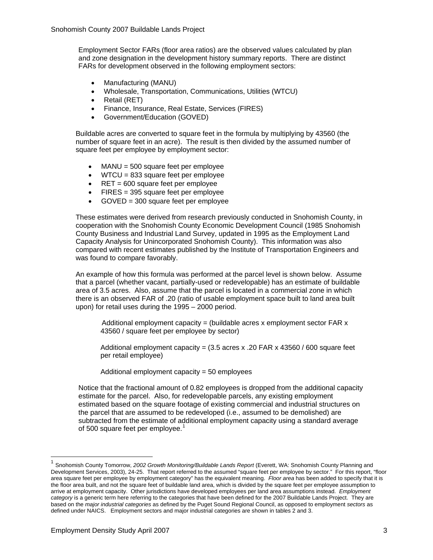Employment Sector FARs (floor area ratios) are the observed values calculated by plan and zone designation in the development history summary reports. There are distinct FARs for development observed in the following employment sectors:

- Manufacturing (MANU)
- Wholesale, Transportation, Communications, Utilities (WTCU)
- Retail (RET)
- Finance, Insurance, Real Estate, Services (FIRES)
- Government/Education (GOVED)

Buildable acres are converted to square feet in the formula by multiplying by 43560 (the number of square feet in an acre). The result is then divided by the assumed number of square feet per employee by employment sector:

- $MANU = 500$  square feet per employee
- WTCU = 833 square feet per employee
- RET = 600 square feet per employee
- FIRES = 395 square feet per employee
- GOVED = 300 square feet per employee

These estimates were derived from research previously conducted in Snohomish County, in cooperation with the Snohomish County Economic Development Council (1985 Snohomish County Business and Industrial Land Survey, updated in 1995 as the Employment Land Capacity Analysis for Unincorporated Snohomish County). This information was also compared with recent estimates published by the Institute of Transportation Engineers and was found to compare favorably.

An example of how this formula was performed at the parcel level is shown below. Assume that a parcel (whether vacant, partially-used or redevelopable) has an estimate of buildable area of 3.5 acres. Also, assume that the parcel is located in a commercial zone in which there is an observed FAR of .20 (ratio of usable employment space built to land area built upon) for retail uses during the 1995 – 2000 period.

Additional employment capacity = (buildable acres x employment sector FAR  $x$ 43560 / square feet per employee by sector)

Additional employment capacity =  $(3.5 \text{ acres} \times .20 \text{ FAR} \times 43560 / 600 \text{ square feet})$ per retail employee)

Additional employment capacity = 50 employees

Notice that the fractional amount of 0.82 employees is dropped from the additional capacity estimate for the parcel. Also, for redevelopable parcels, any existing employment estimated based on the square footage of existing commercial and industrial structures on the parcel that are assumed to be redeveloped (i.e., assumed to be demolished) are subtracted from the estimate of additional employment capacity using a standard average of 500 square feet per employee.<sup>[1](#page-2-0)</sup>

<span id="page-2-0"></span><sup>1</sup> Snohomish County Tomorrow, *2002 Growth Monitoring/Buildable Lands Report* (Everett, WA: Snohomish County Planning and Development Services, 2003), 24-25. That report referred to the assumed "square feet per employee by sector." For this report, "floor area square feet per employee by employment category" has the equivalent meaning. *Floor area* has been added to specify that it is the floor area built, and not the square feet of buildable land area, which is divided by the square feet per employee assumption to arrive at employment capacity. Other jurisdictions have developed employees per land area assumptions instead. *Employment category* is a generic term here referring to the categories that have been defined for the 2007 Buildable Lands Project. They are based on the *major industrial categories* as defined by the Puget Sound Regional Council, as opposed to employment *sectors* as defined under NAICS. Employment sectors and major industrial categories are shown in tables 2 and 3.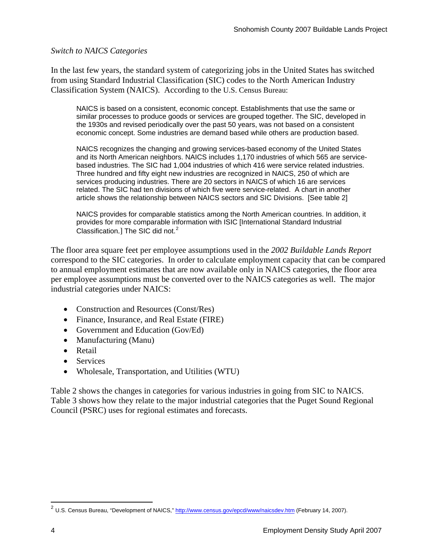#### *Switch to NAICS Categories*

In the last few years, the standard system of categorizing jobs in the United States has switched from using Standard Industrial Classification (SIC) codes to the North American Industry Classification System (NAICS). According to the U.S. Census Bureau:

NAICS is based on a consistent, economic concept. Establishments that use the same or similar processes to produce goods or services are grouped together. The SIC, developed in the 1930s and revised periodically over the past 50 years, was not based on a consistent economic concept. Some industries are demand based while others are production based.

NAICS recognizes the changing and growing services-based economy of the United States and its North American neighbors. NAICS includes 1,170 industries of which 565 are servicebased industries. The SIC had 1,004 industries of which 416 were service related industries. Three hundred and fifty eight new industries are recognized in NAICS, 250 of which are services producing industries. There are 20 sectors in NAICS of which 16 are services related. The SIC had ten divisions of which five were service-related. A chart in another article shows the relationship between NAICS sectors and SIC Divisions. [See table 2]

NAICS provides for comparable statistics among the North American countries. In addition, it provides for more comparable information with ISIC [International Standard Industrial Classification.] The SIC did not. $2$ 

The floor area square feet per employee assumptions used in the *2002 Buildable Lands Report* correspond to the SIC categories. In order to calculate employment capacity that can be compared to annual employment estimates that are now available only in NAICS categories, the floor area per employee assumptions must be converted over to the NAICS categories as well. The major industrial categories under NAICS:

- Construction and Resources (Const/Res)
- Finance, Insurance, and Real Estate (FIRE)
- Government and Education (Gov/Ed)
- Manufacturing (Manu)
- Retail
- Services
- Wholesale, Transportation, and Utilities (WTU)

Table 2 shows the changes in categories for various industries in going from SIC to NAICS. Table 3 shows how they relate to the major industrial categories that the Puget Sound Regional Council (PSRC) uses for regional estimates and forecasts.

<span id="page-3-0"></span><sup>&</sup>lt;sup>2</sup> U.S. Census Bureau, "Development of NAICS," <u>http://www.census.gov/epcd/www/naicsdev.htm</u> (February 14, 2007).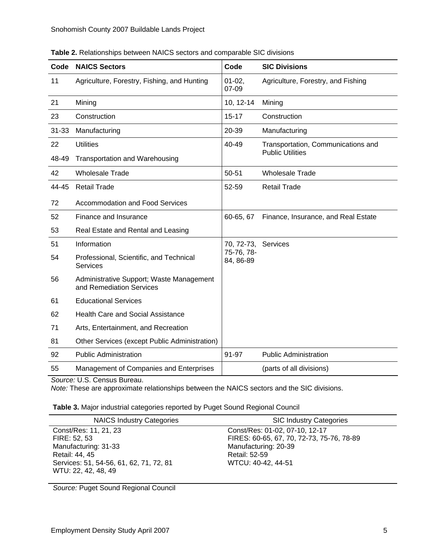| Code      | <b>NAICS Sectors</b>                                                 | Code                    | <b>SIC Divisions</b>                |
|-----------|----------------------------------------------------------------------|-------------------------|-------------------------------------|
| 11        | Agriculture, Forestry, Fishing, and Hunting                          | $01 - 02$ ,<br>07-09    | Agriculture, Forestry, and Fishing  |
| 21        | Mining                                                               | 10, 12-14               | Mining                              |
| 23        | Construction                                                         | $15 - 17$               | Construction                        |
| $31 - 33$ | Manufacturing                                                        | 20-39                   | Manufacturing                       |
| 22        | <b>Utilities</b>                                                     | 40-49                   | Transportation, Communications and  |
| 48-49     | <b>Transportation and Warehousing</b>                                |                         | <b>Public Utilities</b>             |
| 42        | <b>Wholesale Trade</b>                                               | 50-51                   | <b>Wholesale Trade</b>              |
| 44-45     | <b>Retail Trade</b>                                                  | 52-59                   | <b>Retail Trade</b>                 |
| 72        | <b>Accommodation and Food Services</b>                               |                         |                                     |
| 52        | Finance and Insurance                                                | 60-65, 67               | Finance, Insurance, and Real Estate |
| 53        | Real Estate and Rental and Leasing                                   |                         |                                     |
| 51        | Information                                                          | 70, 72-73, Services     |                                     |
| 54        | Professional, Scientific, and Technical<br><b>Services</b>           | 75-76, 78-<br>84, 86-89 |                                     |
| 56        | Administrative Support; Waste Management<br>and Remediation Services |                         |                                     |
| 61        | <b>Educational Services</b>                                          |                         |                                     |
| 62        | <b>Health Care and Social Assistance</b>                             |                         |                                     |
| 71        | Arts, Entertainment, and Recreation                                  |                         |                                     |
| 81        | Other Services (except Public Administration)                        |                         |                                     |
| 92        | <b>Public Administration</b>                                         | 91-97                   | <b>Public Administration</b>        |
| 55        | Management of Companies and Enterprises                              |                         | (parts of all divisions)            |

**Table 2.** Relationships between NAICS sectors and comparable SIC divisions

*Source:* U.S. Census Bureau.

*Note:* These are approximate relationships between the NAICS sectors and the SIC divisions.

| Table 3. Major industrial categories reported by Puget Sound Regional Council |  |  |
|-------------------------------------------------------------------------------|--|--|
|                                                                               |  |  |

| <b>NAICS Industry Categories</b>        | <b>SIC Industry Categories</b>            |
|-----------------------------------------|-------------------------------------------|
| Const/Res: 11, 21, 23                   | Const/Res: 01-02, 07-10, 12-17            |
| FIRE: 52, 53                            | FIRES: 60-65, 67, 70, 72-73, 75-76, 78-89 |
| Manufacturing: 31-33                    | Manufacturing: 20-39                      |
| Retail: 44, 45                          | Retail: 52-59                             |
| Services: 51, 54-56, 61, 62, 71, 72, 81 | WTCU: 40-42, 44-51                        |
| WTU: 22, 42, 48, 49                     |                                           |

*Source:* Puget Sound Regional Council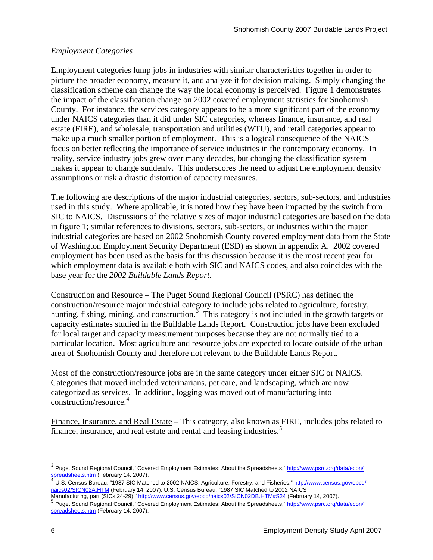## *Employment Categories*

Employment categories lump jobs in industries with similar characteristics together in order to picture the broader economy, measure it, and analyze it for decision making. Simply changing the classification scheme can change the way the local economy is perceived. Figure 1 demonstrates the impact of the classification change on 2002 covered employment statistics for Snohomish County. For instance, the services category appears to be a more significant part of the economy under NAICS categories than it did under SIC categories, whereas finance, insurance, and real estate (FIRE), and wholesale, transportation and utilities (WTU), and retail categories appear to make up a much smaller portion of employment. This is a logical consequence of the NAICS focus on better reflecting the importance of service industries in the contemporary economy. In reality, service industry jobs grew over many decades, but changing the classification system makes it appear to change suddenly. This underscores the need to adjust the employment density assumptions or risk a drastic distortion of capacity measures.

The following are descriptions of the major industrial categories, sectors, sub-sectors, and industries used in this study. Where applicable, it is noted how they have been impacted by the switch from SIC to NAICS. Discussions of the relative sizes of major industrial categories are based on the data in figure 1; similar references to divisions, sectors, sub-sectors, or industries within the major industrial categories are based on 2002 Snohomish County covered employment data from the State of Washington Employment Security Department (ESD) as shown in appendix A. 2002 covered employment has been used as the basis for this discussion because it is the most recent year for which employment data is available both with SIC and NAICS codes, and also coincides with the base year for the *2002 Buildable Lands Report*.

Construction and Resource – The Puget Sound Regional Council (PSRC) has defined the construction/resource major industrial category to include jobs related to agriculture, forestry, hunting, fishing, mining, and construction.  $\frac{3}{3}$  $\frac{3}{3}$  $\frac{3}{3}$  This category is not included in the growth targets or capacity estimates studied in the Buildable Lands Report. Construction jobs have been excluded for local target and capacity measurement purposes because they are not normally tied to a particular location. Most agriculture and resource jobs are expected to locate outside of the urban area of Snohomish County and therefore not relevant to the Buildable Lands Report.

Most of the construction/resource jobs are in the same category under either SIC or NAICS. Categories that moved included veterinarians, pet care, and landscaping, which are now categorized as services. In addition, logging was moved out of manufacturing into construction/resource.<sup>[4](#page-5-1)</sup>

Finance, Insurance, and Real Estate – This category, also known as FIRE, includes jobs related to finance, insurance, and real estate and rental and leasing industries.<sup>[5](#page-5-2)</sup>

<span id="page-5-0"></span><sup>&</sup>lt;sup>3</sup> Puget Sound Regional Council, "Covered Employment Estimates: About the Spreadsheets," [http://www.psrc.org/data/econ/](http://www.psrc.org/data/econ/spreadsheets.htm) [spreadsheets.htm](http://www.psrc.org/data/econ/spreadsheets.htm) (February 1[4](http://www.psrc.org/data/econ/spreadsheets.htm), 2007).<br>
4 U.S. Census Bureau, "1987 SIC Matched to 2002 NAICS: Agriculture, Forestry, and Fisheries," [http://www.census.gov/epcd/](http://www.census.gov/epcd/naics02/SICN02A.HTM)

<span id="page-5-1"></span>[naics02/SICN02A.HTM](http://www.census.gov/epcd/naics02/SICN02A.HTM) (February 14, 2007); U.S. Census Bureau, "1987 SIC Matched to 2002 NAICS<br>Manufacturing, part (SICs 24-29)," http://www.census.gov/epcd/naics02/SICN02DB.HTM#S24 (February 14, 2007).

<span id="page-5-2"></span>Puget Sound Regional Council, "Covered Employment Estimates: About the Spreadsheets," [http://www.psrc.org/data/econ/](http://www.psrc.org/data/econ/spreadsheets.htm) [spreadsheets.htm](http://www.psrc.org/data/econ/spreadsheets.htm) (February 14, 2007).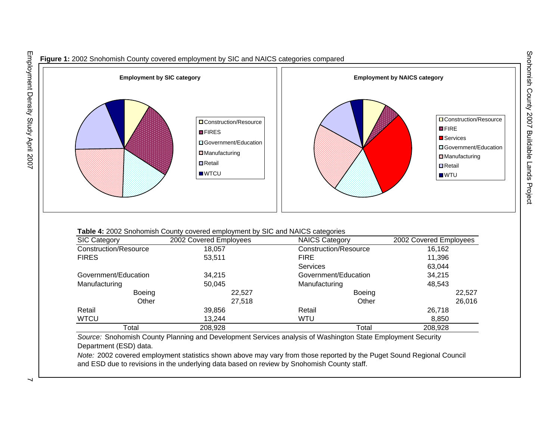

Snohomish County 2007 Buildable Lands Project

Snohomish County 2007 Buildable Lands Project

#### **Table 4:** 2002 Snohomish County covered employment by SIC and NAICS categories

| <b>SIC Category</b>   | 2002 Covered Employees          | <b>NAICS Category</b> | 2002 Covered Employees |
|-----------------------|---------------------------------|-----------------------|------------------------|
| Construction/Resource | Construction/Resource<br>18.057 |                       | 16,162                 |
| <b>FIRES</b>          | 53,511                          | <b>FIRE</b>           | 11,396                 |
|                       |                                 | <b>Services</b>       | 63,044                 |
| Government/Education  | 34,215                          | Government/Education  | 34,215                 |
| Manufacturing         | 50.045                          | Manufacturing         | 48,543                 |
| Boeing                | 22,527                          | Boeing                | 22,527                 |
| Other                 | 27,518                          | Other                 | 26,016                 |
| Retail                | 39,856                          | Retail                | 26,718                 |
| <b>WTCU</b>           | 13.244                          | <b>WTU</b>            | 8,850                  |
| Total                 | 208,928                         | Total                 | 208,928                |

*Source:* Snohomish County Planning and Development Services analysis of Washington State Employment Security Department (ESD) data.

*Note:* 2002 covered employment statistics shown above may vary from those reported by the Puget Sound Regional Council and ESD due to revisions in the underlying data based on review by Snohomish County staff.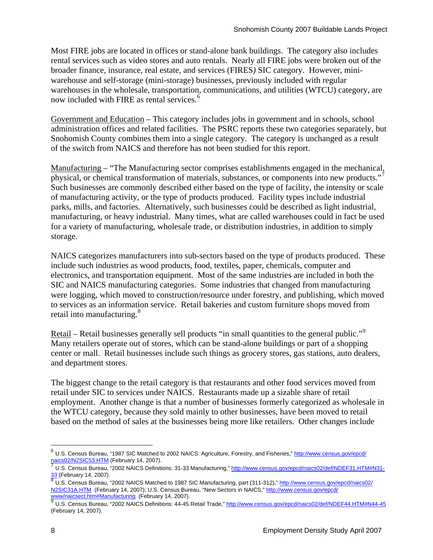Most FIRE jobs are located in offices or stand-alone bank buildings. The category also includes rental services such as video stores and auto rentals. Nearly all FIRE jobs were broken out of the broader finance, insurance, real estate, and services (FIRES*)* SIC category. However, miniwarehouse and self-storage (mini-storage) businesses, previously included with regular warehouses in the wholesale, transportation, communications, and utilities (WTCU) category, are now included with FIRE as rental services.<sup>[6](#page-7-0)</sup>

Government and Education – This category includes jobs in government and in schools, school administration offices and related facilities. The PSRC reports these two categories separately, but Snohomish County combines them into a single category. The category is unchanged as a result of the switch from NAICS and therefore has not been studied for this report.

Manufacturing – "The Manufacturing sector comprises establishments engaged in the mechanical, physical, or chemical transformation of materials, substances, or components into new products." Such businesses are commonly described either based on the type of facility, the intensity or scale of manufacturing activity, or the type of products produced. Facility types include industrial parks, mills, and factories. Alternatively, such businesses could be described as light industrial, manufacturing, or heavy industrial. Many times, what are called warehouses could in fact be used for a variety of manufacturing, wholesale trade, or distribution industries, in addition to simply storage.

NAICS categorizes manufacturers into sub-sectors based on the type of products produced. These include such industries as wood products, food, textiles, paper, chemicals, computer and electronics, and transportation equipment. Most of the same industries are included in both the SIC and NAICS manufacturing categories. Some industries that changed from manufacturing were logging, which moved to construction/resource under forestry, and publishing, which moved to services as an information service. Retail bakeries and custom furniture shops moved from retail into manufacturing.<sup>[8](#page-7-2)</sup>

Retail – Retail businesses generally sell products "in small quantities to the general public."<sup>[9](#page-7-3)</sup> Many retailers operate out of stores, which can be stand-alone buildings or part of a shopping center or mall. Retail businesses include such things as grocery stores, gas stations, auto dealers, and department stores.

The biggest change to the retail category is that restaurants and other food services moved from retail under SIC to services under NAICS. Restaurants made up a sizable share of retail employment. Another change is that a number of businesses formerly categorized as wholesale in the WTCU category, because they sold mainly to other businesses, have been moved to retail based on the method of sales at the businesses being more like retailers. Other changes include

1

<span id="page-7-0"></span><sup>&</sup>lt;sup>6</sup> U.S. Census Bureau, "1987 SIC Matched to 2002 NAICS: Agriculture, Forestry, and Fisheries," [http://www.census.gov/epcd/](http://www.census.gov/epcd/naics02/N2SIC53.HTM)<br>naics02/N2SIC53.HTM (February 14, 2007).

<span id="page-7-1"></span>U.S. Census Bureau, "2002 NAICS Definitions: 31-33 Manufacturing," [http://www.census.gov/epcd/naics02/def/NDEF31.HTM#N31-](http://www.census.gov/epcd/naics02/def/NDEF31.HTM#N31-33)  $\frac{33}{8}$  (February 14, 2007).<br> $\frac{8}{8}$  U.S. Census Bureau, "2002 NAICS Matched to 1987 SIC Manufacturing, part (311-312)," [http://www.census.gov/epcd/naics02/](http://www.census.gov/epcd/naics02/N2SIC31A.HTM)

<span id="page-7-2"></span>[N2SIC31A.HTM](http://www.census.gov/epcd/naics02/N2SIC31A.HTM) (February 14, 2007); U.S. Census Bureau, "New Sectors in NAICS," [http://www.census.gov/epcd/](http://www.census.gov/epcd/www/naicsect.htm#Manufacturing)

<span id="page-7-3"></span>[www/naicsect.htm#Manufacturing](http://www.census.gov/epcd/www/naicsect.htm#Manufacturing) (February 14, 2007).<br>9 U.S. Census Bureau, "2002 NAICS Definitions: 44-45 Retail Trade,"<http://www.census.gov/epcd/naics02/def/NDEF44.HTM#N44-45> (February 14, 2007).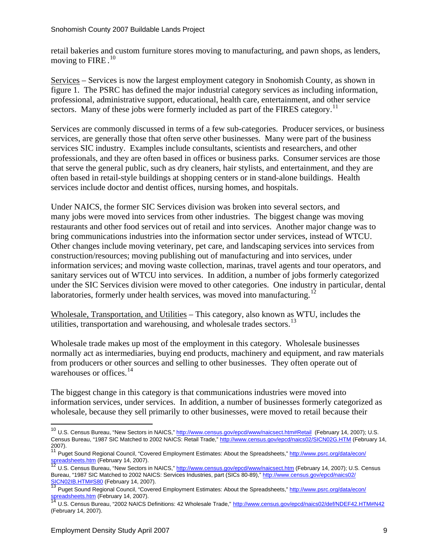retail bakeries and custom furniture stores moving to manufacturing, and pawn shops, as lenders, moving to FIRE.<sup>[10](#page-8-0)</sup>

Services – Services is now the largest employment category in Snohomish County, as shown in figure 1. The PSRC has defined the major industrial category services as including information, professional, administrative support, educational, health care, entertainment, and other service sectors. Many of these jobs were formerly included as part of the FIRES category.<sup>[11](#page-8-1)</sup>

Services are commonly discussed in terms of a few sub-categories. Producer services, or business services, are generally those that often serve other businesses. Many were part of the business services SIC industry. Examples include consultants, scientists and researchers, and other professionals, and they are often based in offices or business parks. Consumer services are those that serve the general public, such as dry cleaners, hair stylists, and entertainment, and they are often based in retail-style buildings at shopping centers or in stand-alone buildings. Health services include doctor and dentist offices, nursing homes, and hospitals.

Under NAICS, the former SIC Services division was broken into several sectors, and many jobs were moved into services from other industries. The biggest change was moving restaurants and other food services out of retail and into services. Another major change was to bring communications industries into the information sector under services, instead of WTCU. Other changes include moving veterinary, pet care, and landscaping services into services from construction/resources; moving publishing out of manufacturing and into services, under information services; and moving waste collection, marinas, travel agents and tour operators, and sanitary services out of WTCU into services. In addition, a number of jobs formerly categorized under the SIC Services division were moved to other categories. One industry in particular, dental laboratories, formerly under health services, was moved into manufacturing.<sup>[12](#page-8-2)</sup>

Wholesale, Transportation, and Utilities – This category, also known as WTU, includes the utilities, transportation and warehousing, and wholesale trades sectors.<sup>[13](#page-8-3)</sup>

Wholesale trade makes up most of the employment in this category. Wholesale businesses normally act as intermediaries, buying end products, machinery and equipment, and raw materials from producers or other sources and selling to other businesses. They often operate out of warehouses or offices. $14$ 

The biggest change in this category is that communications industries were moved into information services, under services. In addition, a number of businesses formerly categorized as wholesale, because they sell primarily to other businesses, were moved to retail because their

<span id="page-8-0"></span><sup>&</sup>lt;sup>10</sup> U.S. Census Bureau, "New Sectors in NAICS," [http://www.census.gov/epcd/www/naicsect.htm#Retail](http://www.census.gov/epcd/www/naicsect.htm#Manufacturing) (February 14, 2007); U.S. Census Bureau, "1987 SIC Matched to 2002 NAICS: Retail Trade,"<http://www.census.gov/epcd/naics02/SICN02G.HTM>(February 14, 2007).<br><sup>11</sup> Puget Sound Regional Council, "Covered Employment Estimates: About the Spreadsheets," <u>[http://www.psrc.org/data/econ/](http://www.psrc.org/data/econ/spreadsheets.htm)</u>

<span id="page-8-1"></span>[spreadsheets.htm](http://www.psrc.org/data/econ/spreadsheets.htm) (February 14, 2007).<br>12 U.S. Census Bureau, "New Sectors in NAICS," <http://www.census.gov/epcd/www/naicsect.htm>(February 14, 2007); U.S. Census

<span id="page-8-2"></span>Bureau, "1987 SIC Matched to 2002 NAICS: Services Industries, part (SICs 80-89)," [http://www.census.gov/epcd/naics02/](http://www.census.gov/epcd/naics02/SICN02IB.HTM#S80)

[SICN02IB.HTM#S80](http://www.census.gov/epcd/naics02/SICN02IB.HTM#S80) (February 14, 2007).<br>13 Puget Sound Regional Council, "Covered Employment Estimates: About the Spreadsheets," [http://www.psrc.org/data/econ/](http://www.psrc.org/data/econ/spreadsheets.htm)

<span id="page-8-4"></span><span id="page-8-3"></span>[spreadsheets.htm](http://www.psrc.org/data/econ/spreadsheets.htm) (February 14, 2007).<br><sup>14</sup> U.S. Census Bureau, "2002 NAICS Definitions: 42 Wholesale Trade," <u>http://www.census.gov/epcd/naics02/def/NDEF42.HTM#N42</u> (February 14, 2007).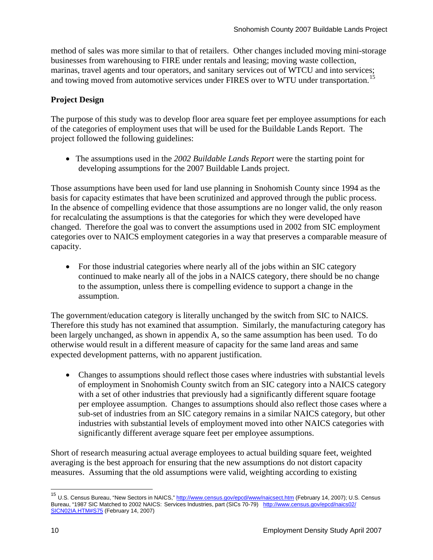method of sales was more similar to that of retailers. Other changes included moving mini-storage businesses from warehousing to FIRE under rentals and leasing; moving waste collection, marinas, travel agents and tour operators, and sanitary services out of WTCU and into services; and towing moved from automotive services under FIRES over to WTU under transportation.<sup>[15](#page-9-0)</sup>

## **Project Design**

The purpose of this study was to develop floor area square feet per employee assumptions for each of the categories of employment uses that will be used for the Buildable Lands Report. The project followed the following guidelines:

• The assumptions used in the *2002 Buildable Lands Report* were the starting point for developing assumptions for the 2007 Buildable Lands project.

Those assumptions have been used for land use planning in Snohomish County since 1994 as the basis for capacity estimates that have been scrutinized and approved through the public process. In the absence of compelling evidence that those assumptions are no longer valid, the only reason for recalculating the assumptions is that the categories for which they were developed have changed. Therefore the goal was to convert the assumptions used in 2002 from SIC employment categories over to NAICS employment categories in a way that preserves a comparable measure of capacity.

• For those industrial categories where nearly all of the jobs within an SIC category continued to make nearly all of the jobs in a NAICS category, there should be no change to the assumption, unless there is compelling evidence to support a change in the assumption.

The government/education category is literally unchanged by the switch from SIC to NAICS. Therefore this study has not examined that assumption. Similarly, the manufacturing category has been largely unchanged, as shown in appendix A, so the same assumption has been used. To do otherwise would result in a different measure of capacity for the same land areas and same expected development patterns, with no apparent justification.

• Changes to assumptions should reflect those cases where industries with substantial levels of employment in Snohomish County switch from an SIC category into a NAICS category with a set of other industries that previously had a significantly different square footage per employee assumption. Changes to assumptions should also reflect those cases where a sub-set of industries from an SIC category remains in a similar NAICS category, but other industries with substantial levels of employment moved into other NAICS categories with significantly different average square feet per employee assumptions.

Short of research measuring actual average employees to actual building square feet, weighted averaging is the best approach for ensuring that the new assumptions do not distort capacity measures. Assuming that the old assumptions were valid, weighting according to existing

1

<span id="page-9-0"></span><sup>&</sup>lt;sup>15</sup> U.S. Census Bureau, "New Sectors in NAICS," <http://www.census.gov/epcd/www/naicsect.htm>(February 14, 2007); U.S. Census Bureau, "1987 SIC Matched to 2002 NAICS: Services Industries, part (SICs 70-79) [http://www.census.gov/epcd/naics02/](http://www.census.gov/epcd/naics02/SICN02IA.HTM#S75) [SICN02IA.HTM#S75](http://www.census.gov/epcd/naics02/SICN02IA.HTM#S75) (February 14, 2007)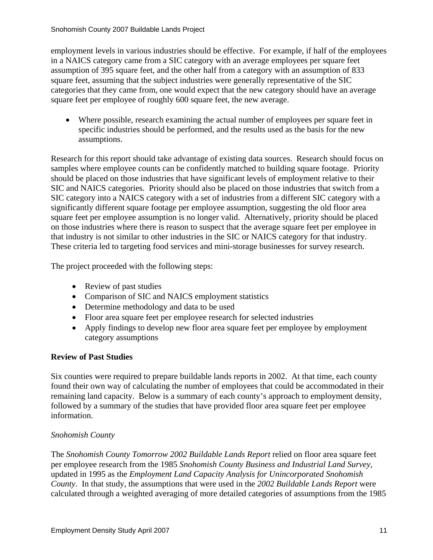employment levels in various industries should be effective. For example, if half of the employees in a NAICS category came from a SIC category with an average employees per square feet assumption of 395 square feet, and the other half from a category with an assumption of 833 square feet, assuming that the subject industries were generally representative of the SIC categories that they came from, one would expect that the new category should have an average square feet per employee of roughly 600 square feet, the new average.

• Where possible, research examining the actual number of employees per square feet in specific industries should be performed, and the results used as the basis for the new assumptions.

Research for this report should take advantage of existing data sources. Research should focus on samples where employee counts can be confidently matched to building square footage. Priority should be placed on those industries that have significant levels of employment relative to their SIC and NAICS categories. Priority should also be placed on those industries that switch from a SIC category into a NAICS category with a set of industries from a different SIC category with a significantly different square footage per employee assumption, suggesting the old floor area square feet per employee assumption is no longer valid. Alternatively, priority should be placed on those industries where there is reason to suspect that the average square feet per employee in that industry is not similar to other industries in the SIC or NAICS category for that industry. These criteria led to targeting food services and mini-storage businesses for survey research.

The project proceeded with the following steps:

- Review of past studies
- Comparison of SIC and NAICS employment statistics
- Determine methodology and data to be used
- Floor area square feet per employee research for selected industries
- Apply findings to develop new floor area square feet per employee by employment category assumptions

## **Review of Past Studies**

Six counties were required to prepare buildable lands reports in 2002. At that time, each county found their own way of calculating the number of employees that could be accommodated in their remaining land capacity. Below is a summary of each county's approach to employment density, followed by a summary of the studies that have provided floor area square feet per employee information.

## *Snohomish County*

The *Snohomish County Tomorrow 2002 Buildable Lands Report* relied on floor area square feet per employee research from the 1985 *Snohomish County Business and Industrial Land Survey*, updated in 1995 as the *Employment Land Capacity Analysis for Unincorporated Snohomish County*. In that study, the assumptions that were used in the *2002 Buildable Lands Report* were calculated through a weighted averaging of more detailed categories of assumptions from the 1985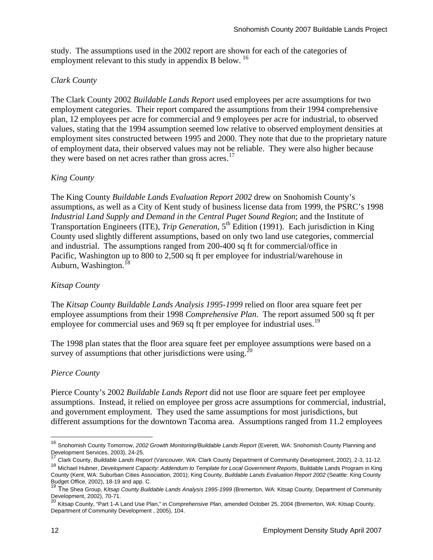study. The assumptions used in the 2002 report are shown for each of the categories of employment relevant to this study in appendix B below.<sup>[16](#page-11-0)</sup>

## *Clark County*

The Clark County 2002 *Buildable Lands Report* used employees per acre assumptions for two employment categories. Their report compared the assumptions from their 1994 comprehensive plan, 12 employees per acre for commercial and 9 employees per acre for industrial, to observed values, stating that the 1994 assumption seemed low relative to observed employment densities at employment sites constructed between 1995 and 2000. They note that due to the proprietary nature of employment data, their observed values may not be reliable. They were also higher because they were based on net acres rather than gross acres.<sup>[17](#page-11-1)</sup>

## *King County*

The King County *Buildable Lands Evaluation Report 2002* drew on Snohomish County's assumptions, as well as a City of Kent study of business license data from 1999, the PSRC's 1998 *Industrial Land Supply and Demand in the Central Puget Sound Region*; and the Institute of Transportation Engineers (ITE), *Trip Generation*, 5<sup>th</sup> Edition (1991). Each jurisdiction in King County used slightly different assumptions, based on only two land use categories, commercial and industrial. The assumptions ranged from 200-400 sq ft for commercial/office in Pacific, Washington up to 800 to 2,500 sq ft per employee for industrial/warehouse in Auburn, Washington.<sup>[18](#page-11-2)</sup>

## *Kitsap County*

The *Kitsap County Buildable Lands Analysis 1995-1999* relied on floor area square feet per employee assumptions from their 1998 *Comprehensive Plan*. The report assumed 500 sq ft per employee for commercial uses and 969 sq ft per employee for industrial uses.<sup>[19](#page-11-3)</sup>

The 1998 plan states that the floor area square feet per employee assumptions were based on a survey of assumptions that other jurisdictions were using. $^{20}$  $^{20}$  $^{20}$ 

## *Pierce County*

Pierce County's 2002 *Buildable Lands Report* did not use floor are square feet per employee assumptions. Instead, it relied on employee per gross acre assumptions for commercial, industrial, and government employment. They used the same assumptions for most jurisdictions, but different assumptions for the downtown Tacoma area. Assumptions ranged from 11.2 employees

<span id="page-11-0"></span><sup>16</sup> Snohomish County Tomorrow, *2002 Growth Monitoring/Buildable Lands Report* (Everett, WA: Snohomish County Planning and Development Services, 2003), 24-25.

<span id="page-11-1"></span><sup>17</sup> Clark County, *Buildable Lands Report* (Vancouver, WA: Clark County Department of Community Development, 2002), 2-3, 11-12.

<span id="page-11-2"></span><sup>18</sup> Michael Hubner, *Development Capacity: Addendum to Template for Local Government Reports*, Buildable Lands Program in King County (Kent, WA: Suburban Cities Association, 2001); King County, *Buildable Lands Evaluation Report 2002* (Seattle: King County

Budget Office, 2002), 18-19 and app. C.<br><sup>19</sup> The Shea Group, *Kitsap County Buildable Lands Analysis 1995-1999* (Bremerton, WA: Kitsap County, Department of Community

<span id="page-11-4"></span><span id="page-11-3"></span>Development, 2002), 70-71. <sup>20</sup> Kitsap County, "Part 1-A Land Use Plan," in *Comprehensive Plan*, amended October 25, 2004 (Bremerton, WA: Kitsap County, Department of Community Development , 2005), 104.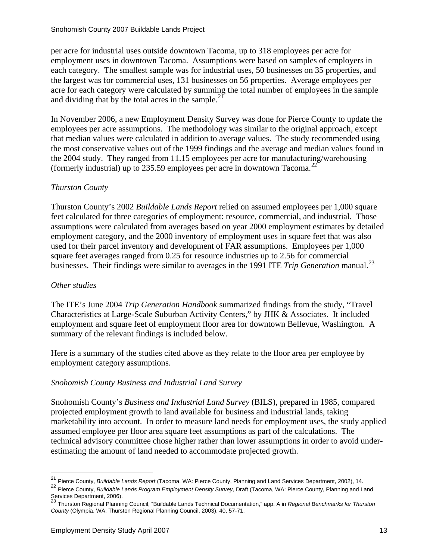per acre for industrial uses outside downtown Tacoma, up to 318 employees per acre for employment uses in downtown Tacoma. Assumptions were based on samples of employers in each category. The smallest sample was for industrial uses, 50 businesses on 35 properties, and the largest was for commercial uses, 131 businesses on 56 properties. Average employees per acre for each category were calculated by summing the total number of employees in the sample and dividing that by the total acres in the sample. $^{21}$  $^{21}$  $^{21}$ 

In November 2006, a new Employment Density Survey was done for Pierce County to update the employees per acre assumptions. The methodology was similar to the original approach, except that median values were calculated in addition to average values. The study recommended using the most conservative values out of the 1999 findings and the average and median values found in the 2004 study. They ranged from 11.15 employees per acre for manufacturing/warehousing (formerly industrial) up to 235.59 employees per acre in downtown Tacoma.<sup>[22](#page-12-1)</sup>

## *Thurston County*

Thurston County's 2002 *Buildable Lands Report* relied on assumed employees per 1,000 square feet calculated for three categories of employment: resource, commercial, and industrial. Those assumptions were calculated from averages based on year 2000 employment estimates by detailed employment category, and the 2000 inventory of employment uses in square feet that was also used for their parcel inventory and development of FAR assumptions. Employees per 1,000 square feet averages ranged from 0.25 for resource industries up to 2.56 for commercial businesses. Their findings were similar to averages in the 1991 ITE *Trip Generation* manual.<sup>[23](#page-12-2)</sup>

# *Other studies*

 $\overline{a}$ 

The ITE's June 2004 *Trip Generation Handbook* summarized findings from the study, "Travel Characteristics at Large-Scale Suburban Activity Centers," by JHK & Associates. It included employment and square feet of employment floor area for downtown Bellevue, Washington. A summary of the relevant findings is included below.

Here is a summary of the studies cited above as they relate to the floor area per employee by employment category assumptions.

## *Snohomish County Business and Industrial Land Survey*

Snohomish County's *Business and Industrial Land Survey* (BILS), prepared in 1985, compared projected employment growth to land available for business and industrial lands, taking marketability into account. In order to measure land needs for employment uses, the study applied assumed employee per floor area square feet assumptions as part of the calculations. The technical advisory committee chose higher rather than lower assumptions in order to avoid underestimating the amount of land needed to accommodate projected growth.

<sup>21</sup> Pierce County, *Buildable Lands Report* (Tacoma, WA: Pierce County, Planning and Land Services Department, 2002), 14.

<span id="page-12-1"></span><span id="page-12-0"></span><sup>22</sup> Pierce County, *Buildable Lands Program Employment Density Survey,* Draft (Tacoma, WA: Pierce County, Planning and Land Services Department, 2006).<br><sup>23</sup> Thurston Regional Planning Council, "Buildable Lands Technical Documentation," app. A in *Regional Benchmarks for Thurston* 

<span id="page-12-2"></span>*County* (Olympia, WA: Thurston Regional Planning Council, 2003), 40, 57-71.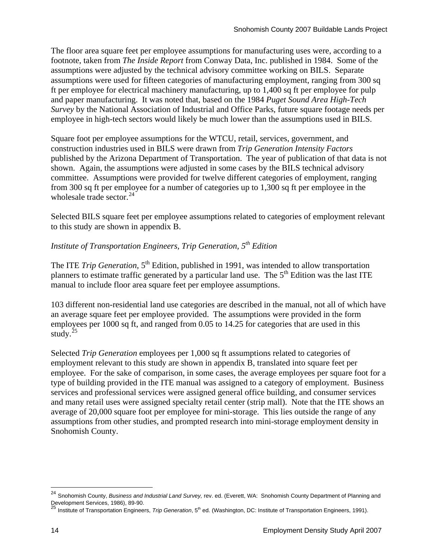The floor area square feet per employee assumptions for manufacturing uses were, according to a footnote, taken from *The Inside Report* from Conway Data, Inc. published in 1984. Some of the assumptions were adjusted by the technical advisory committee working on BILS. Separate assumptions were used for fifteen categories of manufacturing employment, ranging from 300 sq ft per employee for electrical machinery manufacturing, up to 1,400 sq ft per employee for pulp and paper manufacturing. It was noted that, based on the 1984 *Puget Sound Area High-Tech Survey* by the National Association of Industrial and Office Parks, future square footage needs per employee in high-tech sectors would likely be much lower than the assumptions used in BILS.

Square foot per employee assumptions for the WTCU, retail, services, government, and construction industries used in BILS were drawn from *Trip Generation Intensity Factors* published by the Arizona Department of Transportation. The year of publication of that data is not shown. Again, the assumptions were adjusted in some cases by the BILS technical advisory committee. Assumptions were provided for twelve different categories of employment, ranging from 300 sq ft per employee for a number of categories up to 1,300 sq ft per employee in the wholesale trade sector. $24$ 

Selected BILS square feet per employee assumptions related to categories of employment relevant to this study are shown in appendix B.

# *Institute of Transportation Engineers, Trip Generation, 5th Edition*

The ITE *Trip Generation*, 5<sup>th</sup> Edition, published in 1991, was intended to allow transportation planners to estimate traffic generated by a particular land use. The  $5<sup>th</sup>$  Edition was the last ITE manual to include floor area square feet per employee assumptions.

103 different non-residential land use categories are described in the manual, not all of which have an average square feet per employee provided. The assumptions were provided in the form employees per 1000 sq ft, and ranged from 0.05 to 14.25 for categories that are used in this study. $^{25}$  $^{25}$  $^{25}$ 

Selected *Trip Generation* employees per 1,000 sq ft assumptions related to categories of employment relevant to this study are shown in appendix B, translated into square feet per employee. For the sake of comparison, in some cases, the average employees per square foot for a type of building provided in the ITE manual was assigned to a category of employment. Business services and professional services were assigned general office building, and consumer services and many retail uses were assigned specialty retail center (strip mall). Note that the ITE shows an average of 20,000 square foot per employee for mini-storage. This lies outside the range of any assumptions from other studies, and prompted research into mini-storage employment density in Snohomish County.

<span id="page-13-0"></span><sup>24</sup> Snohomish County, *Business and Industrial Land Survey,* rev. ed. (Everett, WA: Snohomish County Department of Planning and

<span id="page-13-1"></span>Development Services, 1986), 89-90.<br><sup>25</sup> Institute of Transportation Engineers, *Trip Generation*, 5<sup>th</sup> ed. (Washington, DC: Institute of Transportation Engineers, 1991).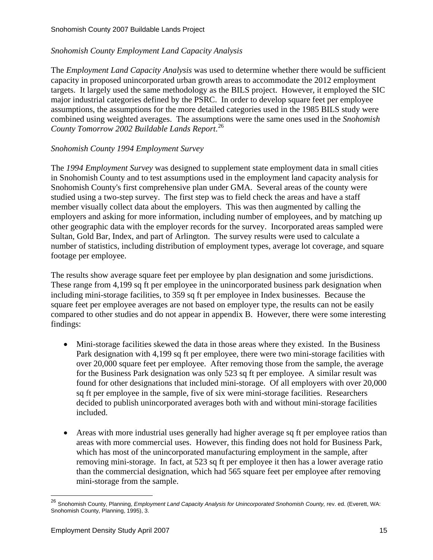## *Snohomish County Employment Land Capacity Analysis*

The *Employment Land Capacity Analysis* was used to determine whether there would be sufficient capacity in proposed unincorporated urban growth areas to accommodate the 2012 employment targets. It largely used the same methodology as the BILS project. However, it employed the SIC major industrial categories defined by the PSRC. In order to develop square feet per employee assumptions, the assumptions for the more detailed categories used in the 1985 BILS study were combined using weighted averages. The assumptions were the same ones used in the *Snohomish County Tomorrow 2002 Buildable Lands Report*. [26](#page-14-0)

#### *Snohomish County 1994 Employment Survey*

The *1994 Employment Survey* was designed to supplement state employment data in small cities in Snohomish County and to test assumptions used in the employment land capacity analysis for Snohomish County's first comprehensive plan under GMA. Several areas of the county were studied using a two-step survey. The first step was to field check the areas and have a staff member visually collect data about the employers. This was then augmented by calling the employers and asking for more information, including number of employees, and by matching up other geographic data with the employer records for the survey. Incorporated areas sampled were Sultan, Gold Bar, Index, and part of Arlington. The survey results were used to calculate a number of statistics, including distribution of employment types, average lot coverage, and square footage per employee.

The results show average square feet per employee by plan designation and some jurisdictions. These range from 4,199 sq ft per employee in the unincorporated business park designation when including mini-storage facilities, to 359 sq ft per employee in Index businesses. Because the square feet per employee averages are not based on employer type, the results can not be easily compared to other studies and do not appear in appendix B. However, there were some interesting findings:

- Mini-storage facilities skewed the data in those areas where they existed. In the Business Park designation with 4,199 sq ft per employee, there were two mini-storage facilities with over 20,000 square feet per employee. After removing those from the sample, the average for the Business Park designation was only 523 sq ft per employee. A similar result was found for other designations that included mini-storage. Of all employers with over 20,000 sq ft per employee in the sample, five of six were mini-storage facilities. Researchers decided to publish unincorporated averages both with and without mini-storage facilities included.
- Areas with more industrial uses generally had higher average sq ft per employee ratios than areas with more commercial uses. However, this finding does not hold for Business Park, which has most of the unincorporated manufacturing employment in the sample, after removing mini-storage. In fact, at 523 sq ft per employee it then has a lower average ratio than the commercial designation, which had 565 square feet per employee after removing mini-storage from the sample.

<span id="page-14-0"></span><sup>&</sup>lt;sup>26</sup> Snohomish County, Planning, *Employment Land Capacity Analysis for Unincorporated Snohomish County, rev. ed.* (Everett, WA: Snohomish County, Planning, 1995), 3.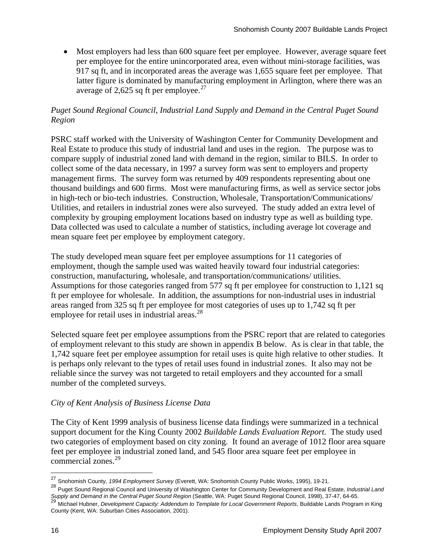• Most employers had less than 600 square feet per employee. However, average square feet per employee for the entire unincorporated area, even without mini-storage facilities, was 917 sq ft, and in incorporated areas the average was 1,655 square feet per employee. That latter figure is dominated by manufacturing employment in Arlington, where there was an average of 2,625 sq ft per employee.<sup>[27](#page-15-0)</sup>

## *Puget Sound Regional Council, Industrial Land Supply and Demand in the Central Puget Sound Region*

PSRC staff worked with the University of Washington Center for Community Development and Real Estate to produce this study of industrial land and uses in the region. The purpose was to compare supply of industrial zoned land with demand in the region, similar to BILS. In order to collect some of the data necessary, in 1997 a survey form was sent to employers and property management firms. The survey form was returned by 409 respondents representing about one thousand buildings and 600 firms. Most were manufacturing firms, as well as service sector jobs in high-tech or bio-tech industries. Construction, Wholesale, Transportation/Communications/ Utilities, and retailers in industrial zones were also surveyed. The study added an extra level of complexity by grouping employment locations based on industry type as well as building type. Data collected was used to calculate a number of statistics, including average lot coverage and mean square feet per employee by employment category.

The study developed mean square feet per employee assumptions for 11 categories of employment, though the sample used was waited heavily toward four industrial categories: construction, manufacturing, wholesale, and transportation/communications/ utilities. Assumptions for those categories ranged from 577 sq ft per employee for construction to 1,121 sq ft per employee for wholesale. In addition, the assumptions for non-industrial uses in industrial areas ranged from 325 sq ft per employee for most categories of uses up to 1,742 sq ft per employee for retail uses in industrial areas.<sup>[28](#page-15-1)</sup>

Selected square feet per employee assumptions from the PSRC report that are related to categories of employment relevant to this study are shown in appendix B below. As is clear in that table, the 1,742 square feet per employee assumption for retail uses is quite high relative to other studies. It is perhaps only relevant to the types of retail uses found in industrial zones. It also may not be reliable since the survey was not targeted to retail employers and they accounted for a small number of the completed surveys.

## *City of Kent Analysis of Business License Data*

The City of Kent 1999 analysis of business license data findings were summarized in a technical support document for the King County 2002 *Buildable Lands Evaluation Report.* The study used two categories of employment based on city zoning. It found an average of 1012 floor area square feet per employee in industrial zoned land, and 545 floor area square feet per employee in commercial zones.<sup>[29](#page-15-2)</sup>

<sup>27</sup> Snohomish County, *1994 Employment Survey* (Everett, WA: Snohomish County Public Works, 1995), 19-21.

<span id="page-15-1"></span><span id="page-15-0"></span><sup>28</sup> Puget Sound Regional Council and University of Washington Center for Community Development and Real Estate, *Industrial Land*  Supply and Demand in the Central Puget Sound Region (Seattle, WA: Puget Sound Regional Council, 1998), 37-47, 64-65.<br><sup>29</sup> Michael Hubner, Development Capacity: Addendum to Template for Local Government Reports, Buildable L

<span id="page-15-2"></span>County (Kent, WA: Suburban Cities Association, 2001).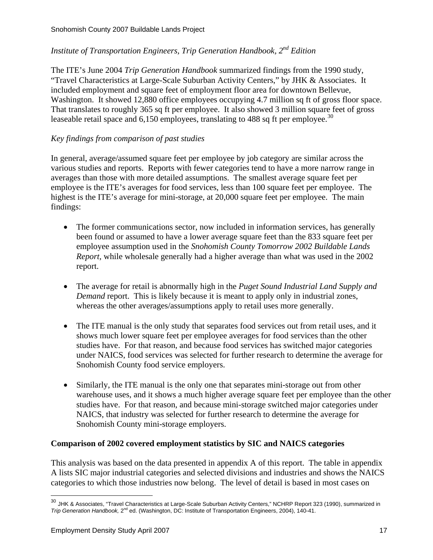# *Institute of Transportation Engineers, Trip Generation Handbook, 2nd Edition*

The ITE's June 2004 *Trip Generation Handbook* summarized findings from the 1990 study, "Travel Characteristics at Large-Scale Suburban Activity Centers," by JHK & Associates. It included employment and square feet of employment floor area for downtown Bellevue, Washington. It showed 12,880 office employees occupying 4.7 million sq ft of gross floor space. That translates to roughly 365 sq ft per employee. It also showed 3 million square feet of gross leaseable retail space and  $6,150$  employees, translating to 488 sq ft per employee.<sup>[30](#page-16-0)</sup>

## *Key findings from comparison of past studies*

In general, average/assumed square feet per employee by job category are similar across the various studies and reports. Reports with fewer categories tend to have a more narrow range in averages than those with more detailed assumptions. The smallest average square feet per employee is the ITE's averages for food services, less than 100 square feet per employee. The highest is the ITE's average for mini-storage, at 20,000 square feet per employee. The main findings:

- The former communications sector, now included in information services, has generally been found or assumed to have a lower average square feet than the 833 square feet per employee assumption used in the *Snohomish County Tomorrow 2002 Buildable Lands Report,* while wholesale generally had a higher average than what was used in the 2002 report.
- The average for retail is abnormally high in the *Puget Sound Industrial Land Supply and Demand* report. This is likely because it is meant to apply only in industrial zones, whereas the other averages/assumptions apply to retail uses more generally.
- The ITE manual is the only study that separates food services out from retail uses, and it shows much lower square feet per employee averages for food services than the other studies have. For that reason, and because food services has switched major categories under NAICS, food services was selected for further research to determine the average for Snohomish County food service employers.
- Similarly, the ITE manual is the only one that separates mini-storage out from other warehouse uses, and it shows a much higher average square feet per employee than the other studies have. For that reason, and because mini-storage switched major categories under NAICS, that industry was selected for further research to determine the average for Snohomish County mini-storage employers.

## **Comparison of 2002 covered employment statistics by SIC and NAICS categories**

This analysis was based on the data presented in appendix A of this report. The table in appendix A lists SIC major industrial categories and selected divisions and industries and shows the NAICS categories to which those industries now belong. The level of detail is based in most cases on

<span id="page-16-0"></span><sup>&</sup>lt;sup>30</sup> JHK & Associates, "Travel Characteristics at Large-Scale Suburban Activity Centers," NCHRP Report 323 (1990), summarized in *Trip Generation Handbook,* 2nd ed. (Washington, DC: Institute of Transportation Engineers, 2004), 140-41.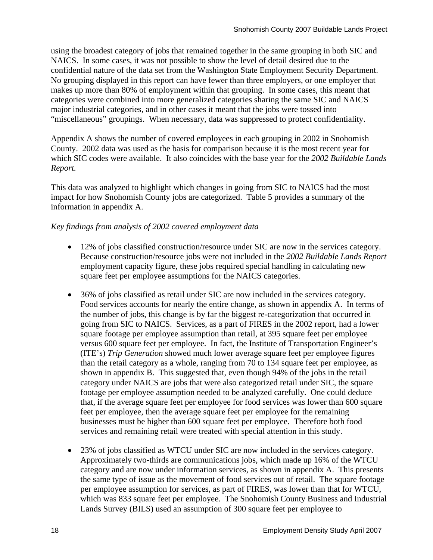using the broadest category of jobs that remained together in the same grouping in both SIC and NAICS. In some cases, it was not possible to show the level of detail desired due to the confidential nature of the data set from the Washington State Employment Security Department. No grouping displayed in this report can have fewer than three employers, or one employer that makes up more than 80% of employment within that grouping. In some cases, this meant that categories were combined into more generalized categories sharing the same SIC and NAICS major industrial categories, and in other cases it meant that the jobs were tossed into "miscellaneous" groupings. When necessary, data was suppressed to protect confidentiality.

Appendix A shows the number of covered employees in each grouping in 2002 in Snohomish County. 2002 data was used as the basis for comparison because it is the most recent year for which SIC codes were available. It also coincides with the base year for the *2002 Buildable Lands Report.*

This data was analyzed to highlight which changes in going from SIC to NAICS had the most impact for how Snohomish County jobs are categorized. Table 5 provides a summary of the information in appendix A.

## *Key findings from analysis of 2002 covered employment data*

- 12% of jobs classified construction/resource under SIC are now in the services category. Because construction/resource jobs were not included in the *2002 Buildable Lands Report* employment capacity figure, these jobs required special handling in calculating new square feet per employee assumptions for the NAICS categories.
- 36% of jobs classified as retail under SIC are now included in the services category. Food services accounts for nearly the entire change, as shown in appendix A. In terms of the number of jobs, this change is by far the biggest re-categorization that occurred in going from SIC to NAICS. Services, as a part of FIRES in the 2002 report, had a lower square footage per employee assumption than retail, at 395 square feet per employee versus 600 square feet per employee. In fact, the Institute of Transportation Engineer's (ITE's) *Trip Generation* showed much lower average square feet per employee figures than the retail category as a whole, ranging from 70 to 134 square feet per employee, as shown in appendix B. This suggested that, even though 94% of the jobs in the retail category under NAICS are jobs that were also categorized retail under SIC, the square footage per employee assumption needed to be analyzed carefully. One could deduce that, if the average square feet per employee for food services was lower than 600 square feet per employee, then the average square feet per employee for the remaining businesses must be higher than 600 square feet per employee. Therefore both food services and remaining retail were treated with special attention in this study.
- 23% of jobs classified as WTCU under SIC are now included in the services category. Approximately two-thirds are communications jobs, which made up 16% of the WTCU category and are now under information services, as shown in appendix A. This presents the same type of issue as the movement of food services out of retail. The square footage per employee assumption for services, as part of FIRES, was lower than that for WTCU, which was 833 square feet per employee. The Snohomish County Business and Industrial Lands Survey (BILS) used an assumption of 300 square feet per employee to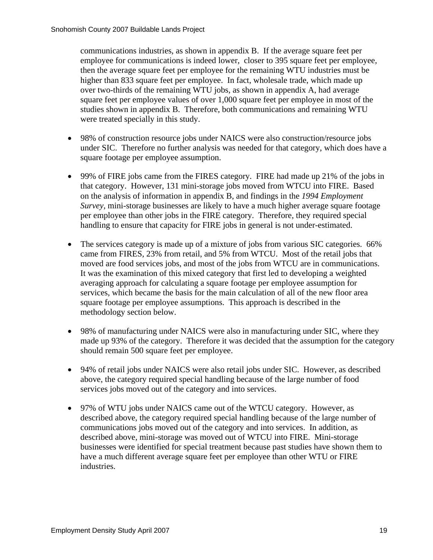communications industries, as shown in appendix B. If the average square feet per employee for communications is indeed lower, closer to 395 square feet per employee, then the average square feet per employee for the remaining WTU industries must be higher than 833 square feet per employee. In fact, wholesale trade, which made up over two-thirds of the remaining WTU jobs, as shown in appendix A, had average square feet per employee values of over 1,000 square feet per employee in most of the studies shown in appendix B. Therefore, both communications and remaining WTU were treated specially in this study.

- 98% of construction resource jobs under NAICS were also construction/resource jobs under SIC. Therefore no further analysis was needed for that category, which does have a square footage per employee assumption.
- 99% of FIRE jobs came from the FIRES category. FIRE had made up 21% of the jobs in that category. However, 131 mini-storage jobs moved from WTCU into FIRE. Based on the analysis of information in appendix B, and findings in the *1994 Employment Survey,* mini-storage businesses are likely to have a much higher average square footage per employee than other jobs in the FIRE category. Therefore, they required special handling to ensure that capacity for FIRE jobs in general is not under-estimated.
- The services category is made up of a mixture of jobs from various SIC categories. 66% came from FIRES, 23% from retail, and 5% from WTCU. Most of the retail jobs that moved are food services jobs, and most of the jobs from WTCU are in communications. It was the examination of this mixed category that first led to developing a weighted averaging approach for calculating a square footage per employee assumption for services, which became the basis for the main calculation of all of the new floor area square footage per employee assumptions. This approach is described in the methodology section below.
- 98% of manufacturing under NAICS were also in manufacturing under SIC, where they made up 93% of the category. Therefore it was decided that the assumption for the category should remain 500 square feet per employee.
- 94% of retail jobs under NAICS were also retail jobs under SIC. However, as described above, the category required special handling because of the large number of food services jobs moved out of the category and into services.
- 97% of WTU jobs under NAICS came out of the WTCU category. However, as described above, the category required special handling because of the large number of communications jobs moved out of the category and into services. In addition, as described above, mini-storage was moved out of WTCU into FIRE. Mini-storage businesses were identified for special treatment because past studies have shown them to have a much different average square feet per employee than other WTU or FIRE industries.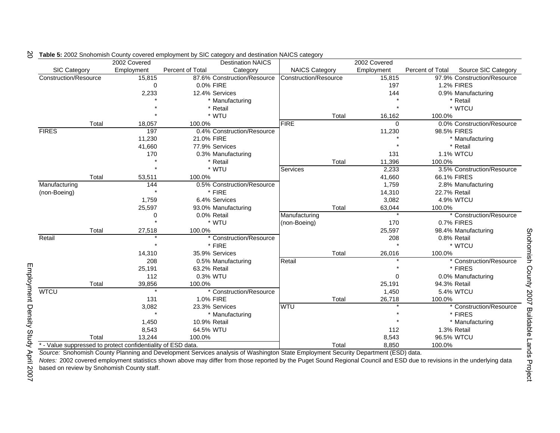|                       |       | 2002 Covered                                                 |                             | <b>Destination NAICS</b>   |                       |       | 2002 Covered |                  |                             |
|-----------------------|-------|--------------------------------------------------------------|-----------------------------|----------------------------|-----------------------|-------|--------------|------------------|-----------------------------|
| SIC Category          |       | Employment                                                   | Percent of Total            | Category                   | <b>NAICS Category</b> |       | Employment   | Percent of Total | Source SIC Category         |
| Construction/Resource |       | 15,815                                                       | 87.6% Construction/Resource |                            | Construction/Resource |       | 15,815       |                  | 97.9% Construction/Resource |
|                       |       | $\Omega$                                                     | 0.0% FIRE                   |                            |                       |       | 197          |                  | <b>1.2% FIRES</b>           |
|                       |       | 2,233                                                        |                             | 12.4% Services             |                       |       | 144          |                  | 0.9% Manufacturing          |
|                       |       |                                                              |                             | * Manufacturing            |                       |       |              |                  | * Retail                    |
|                       |       |                                                              |                             | * Retail                   |                       |       |              |                  | * WTCU                      |
|                       |       |                                                              |                             | * WTU                      |                       | Total | 16,162       | 100.0%           |                             |
|                       | Total | 18,057                                                       | 100.0%                      |                            | <b>FIRE</b>           |       | $\Omega$     |                  | 0.0% Construction/Resource  |
| <b>FIRES</b>          |       | 197                                                          |                             | 0.4% Construction/Resource |                       |       | 11,230       | 98.5% FIRES      |                             |
|                       |       | 11,230                                                       | 21.0% FIRE                  |                            |                       |       |              |                  | * Manufacturing             |
|                       |       | 41,660                                                       |                             | 77.9% Services             |                       |       |              |                  | * Retail                    |
|                       |       | 170                                                          |                             | 0.3% Manufacturing         |                       |       | 131          |                  | <b>1.1% WTCU</b>            |
|                       |       |                                                              |                             | * Retail                   |                       | Total | 11,396       | 100.0%           |                             |
|                       |       |                                                              |                             | * WTU                      | Services              |       | 2,233        |                  | 3.5% Construction/Resource  |
|                       | Total | 53,511                                                       | 100.0%                      |                            |                       |       | 41,660       | 66.1% FIRES      |                             |
| Manufacturing         |       | 144                                                          |                             | 0.5% Construction/Resource |                       |       | 1,759        |                  | 2.8% Manufacturing          |
| (non-Boeing)          |       | $\star$                                                      |                             | * FIRE                     |                       |       | 14,310       | 22.7% Retail     |                             |
|                       |       | 1,759                                                        |                             | 6.4% Services              |                       |       | 3,082        |                  | 4.9% WTCU                   |
|                       |       | 25,597                                                       |                             | 93.0% Manufacturing        |                       | Total | 63,044       | 100.0%           |                             |
|                       |       | 0                                                            |                             | 0.0% Retail                | Manufacturing         |       | $\star$      |                  | * Construction/Resource     |
|                       |       |                                                              |                             | * WTU                      | (non-Boeing)          |       | 170          |                  | 0.7% FIRES                  |
|                       | Total | 27,518                                                       | 100.0%                      |                            |                       |       | 25,597       |                  | 98.4% Manufacturing         |
| Retail                |       |                                                              |                             | * Construction/Resource    |                       |       | 208          |                  | 0.8% Retail                 |
|                       |       |                                                              |                             | * FIRE                     |                       |       |              |                  | * WTCU                      |
|                       |       | 14,310                                                       |                             | 35.9% Services             |                       | Total | 26,016       | 100.0%           |                             |
|                       |       | 208                                                          |                             | 0.5% Manufacturing         | Retail                |       | $\star$      |                  | * Construction/Resource     |
|                       |       | 25,191                                                       | 63.2% Retail                |                            |                       |       |              |                  | * FIRES                     |
|                       |       | 112                                                          | 0.3% WTU                    |                            |                       |       | $\Omega$     |                  | 0.0% Manufacturing          |
|                       | Total | 39,856                                                       | 100.0%                      |                            |                       |       | 25,191       | 94.3% Retail     |                             |
| <b>WTCU</b>           |       | $\star$                                                      |                             | * Construction/Resource    |                       |       | 1,450        |                  | 5.4% WTCU                   |
|                       |       | 131                                                          | 1.0% FIRE                   |                            |                       | Total | 26,718       | 100.0%           |                             |
|                       |       | 3,082                                                        |                             | 23.3% Services             | <b>WTU</b>            |       |              |                  | * Construction/Resource     |
|                       |       |                                                              |                             | * Manufacturing            |                       |       |              |                  | * FIRES                     |
|                       |       | 1,450                                                        | 10.9% Retail                |                            |                       |       |              |                  | * Manufacturing             |
|                       |       | 8,543                                                        | 64.5% WTU                   |                            |                       |       | 112          |                  | 1.3% Retail                 |
|                       | Total | 13.244                                                       | 100.0%                      |                            |                       |       | 8,543        | 96.5% WTCU       |                             |
|                       |       | * - Value suppressed to protect confidentiality of ESD data. |                             |                            |                       | Total | 8,850        | 100.0%           |                             |

#### **Table 5:** 2002 Snohomish County covered employment by SIC category and destination NAICS category 20

*Source:* Snohomish County Planning and Development Services analysis of Washington State Employment Security Department (ESD) data.

*Notes:* 2002 covered employment statistics shown above may differ from those reported by the Puget Sound Regional Council and ESD due to revisions in the underlying data based on review by Snohomish County staff.

Snohomish County 2007 Buildable Lands Project Snohomish County 2007 Buildable Lands Project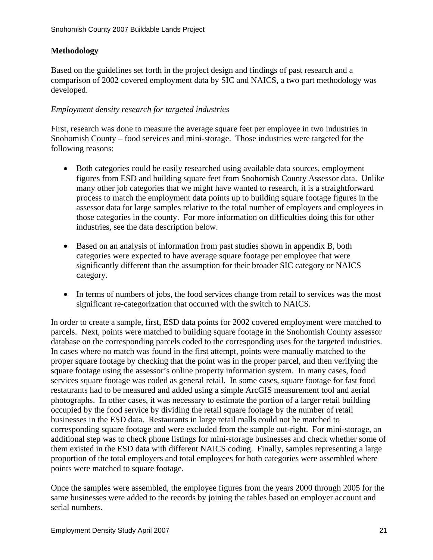## **Methodology**

Based on the guidelines set forth in the project design and findings of past research and a comparison of 2002 covered employment data by SIC and NAICS, a two part methodology was developed.

## *Employment density research for targeted industries*

First, research was done to measure the average square feet per employee in two industries in Snohomish County – food services and mini-storage. Those industries were targeted for the following reasons:

- Both categories could be easily researched using available data sources, employment figures from ESD and building square feet from Snohomish County Assessor data. Unlike many other job categories that we might have wanted to research, it is a straightforward process to match the employment data points up to building square footage figures in the assessor data for large samples relative to the total number of employers and employees in those categories in the county. For more information on difficulties doing this for other industries, see the data description below.
- Based on an analysis of information from past studies shown in appendix B, both categories were expected to have average square footage per employee that were significantly different than the assumption for their broader SIC category or NAICS category.
- In terms of numbers of jobs, the food services change from retail to services was the most significant re-categorization that occurred with the switch to NAICS.

In order to create a sample, first, ESD data points for 2002 covered employment were matched to parcels. Next, points were matched to building square footage in the Snohomish County assessor database on the corresponding parcels coded to the corresponding uses for the targeted industries. In cases where no match was found in the first attempt, points were manually matched to the proper square footage by checking that the point was in the proper parcel, and then verifying the square footage using the assessor's online property information system. In many cases, food services square footage was coded as general retail. In some cases, square footage for fast food restaurants had to be measured and added using a simple ArcGIS measurement tool and aerial photographs. In other cases, it was necessary to estimate the portion of a larger retail building occupied by the food service by dividing the retail square footage by the number of retail businesses in the ESD data. Restaurants in large retail malls could not be matched to corresponding square footage and were excluded from the sample out-right. For mini-storage, an additional step was to check phone listings for mini-storage businesses and check whether some of them existed in the ESD data with different NAICS coding. Finally, samples representing a large proportion of the total employers and total employees for both categories were assembled where points were matched to square footage.

Once the samples were assembled, the employee figures from the years 2000 through 2005 for the same businesses were added to the records by joining the tables based on employer account and serial numbers.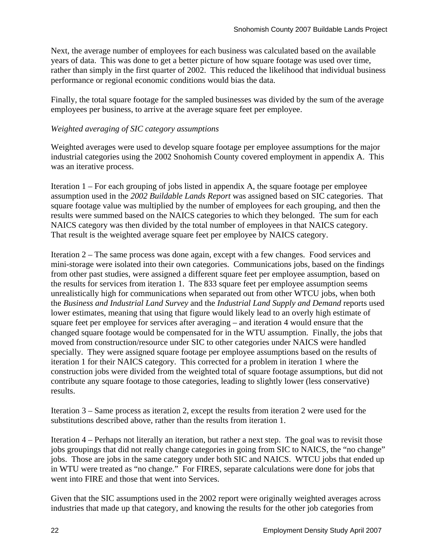Next, the average number of employees for each business was calculated based on the available years of data. This was done to get a better picture of how square footage was used over time, rather than simply in the first quarter of 2002. This reduced the likelihood that individual business performance or regional economic conditions would bias the data.

Finally, the total square footage for the sampled businesses was divided by the sum of the average employees per business, to arrive at the average square feet per employee.

## *Weighted averaging of SIC category assumptions*

Weighted averages were used to develop square footage per employee assumptions for the major industrial categories using the 2002 Snohomish County covered employment in appendix A. This was an iterative process.

Iteration 1 – For each grouping of jobs listed in appendix A, the square footage per employee assumption used in the *2002 Buildable Lands Report* was assigned based on SIC categories. That square footage value was multiplied by the number of employees for each grouping, and then the results were summed based on the NAICS categories to which they belonged. The sum for each NAICS category was then divided by the total number of employees in that NAICS category. That result is the weighted average square feet per employee by NAICS category.

Iteration 2 – The same process was done again, except with a few changes. Food services and mini-storage were isolated into their own categories. Communications jobs, based on the findings from other past studies, were assigned a different square feet per employee assumption, based on the results for services from iteration 1. The 833 square feet per employee assumption seems unrealistically high for communications when separated out from other WTCU jobs, when both the *Business and Industrial Land Survey* and the *Industrial Land Supply and Demand* reports used lower estimates, meaning that using that figure would likely lead to an overly high estimate of square feet per employee for services after averaging – and iteration 4 would ensure that the changed square footage would be compensated for in the WTU assumption. Finally, the jobs that moved from construction/resource under SIC to other categories under NAICS were handled specially. They were assigned square footage per employee assumptions based on the results of iteration 1 for their NAICS category. This corrected for a problem in iteration 1 where the construction jobs were divided from the weighted total of square footage assumptions, but did not contribute any square footage to those categories, leading to slightly lower (less conservative) results.

Iteration 3 – Same process as iteration 2, except the results from iteration 2 were used for the substitutions described above, rather than the results from iteration 1.

Iteration 4 – Perhaps not literally an iteration, but rather a next step. The goal was to revisit those jobs groupings that did not really change categories in going from SIC to NAICS, the "no change" jobs. Those are jobs in the same category under both SIC and NAICS. WTCU jobs that ended up in WTU were treated as "no change." For FIRES, separate calculations were done for jobs that went into FIRE and those that went into Services.

Given that the SIC assumptions used in the 2002 report were originally weighted averages across industries that made up that category, and knowing the results for the other job categories from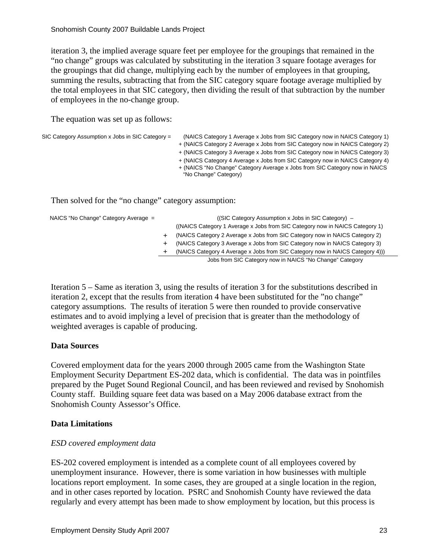iteration 3, the implied average square feet per employee for the groupings that remained in the "no change" groups was calculated by substituting in the iteration 3 square footage averages for the groupings that did change, multiplying each by the number of employees in that grouping, summing the results, subtracting that from the SIC category square footage average multiplied by the total employees in that SIC category, then dividing the result of that subtraction by the number of employees in the no-change group.

The equation was set up as follows:

| SIC Category Assumption x Jobs in SIC Category = | (NAICS Category 1 Average x Jobs from SIC Category now in NAICS Category 1)                          |
|--------------------------------------------------|------------------------------------------------------------------------------------------------------|
|                                                  | + (NAICS Category 2 Average x Jobs from SIC Category now in NAICS Category 2)                        |
|                                                  | + (NAICS Category 3 Average x Jobs from SIC Category now in NAICS Category 3)                        |
|                                                  | + (NAICS Category 4 Average x Jobs from SIC Category now in NAICS Category 4)                        |
|                                                  | + (NAICS "No Change" Category Average x Jobs from SIC Category now in NAICS<br>"No Change" Category) |
|                                                  |                                                                                                      |

Then solved for the "no change" category assumption:

NAICS "No Change" Category Average =

|  | (SIC Category Assumption x Jobs in SIC Category) -                            |
|--|-------------------------------------------------------------------------------|
|  | ((NAICS Category 1 Average x Jobs from SIC Category now in NAICS Category 1)  |
|  | (NAICS Category 2 Average x Jobs from SIC Category now in NAICS Category 2)   |
|  | (NAICS Category 3 Average x Jobs from SIC Category now in NAICS Category 3)   |
|  | (NAICS Category 4 Average x Jobs from SIC Category now in NAICS Category 4))) |
|  | Jobs from SIC Category now in NAICS "No Change" Category                      |

Iteration 5 – Same as iteration 3, using the results of iteration 3 for the substitutions described in iteration 2, except that the results from iteration 4 have been substituted for the "no change" category assumptions. The results of iteration 5 were then rounded to provide conservative estimates and to avoid implying a level of precision that is greater than the methodology of weighted averages is capable of producing.

#### **Data Sources**

Covered employment data for the years 2000 through 2005 came from the Washington State Employment Security Department ES-202 data, which is confidential. The data was in pointfiles prepared by the Puget Sound Regional Council, and has been reviewed and revised by Snohomish County staff. Building square feet data was based on a May 2006 database extract from the Snohomish County Assessor's Office.

#### **Data Limitations**

#### *ESD covered employment data*

ES-202 covered employment is intended as a complete count of all employees covered by unemployment insurance. However, there is some variation in how businesses with multiple locations report employment. In some cases, they are grouped at a single location in the region, and in other cases reported by location. PSRC and Snohomish County have reviewed the data regularly and every attempt has been made to show employment by location, but this process is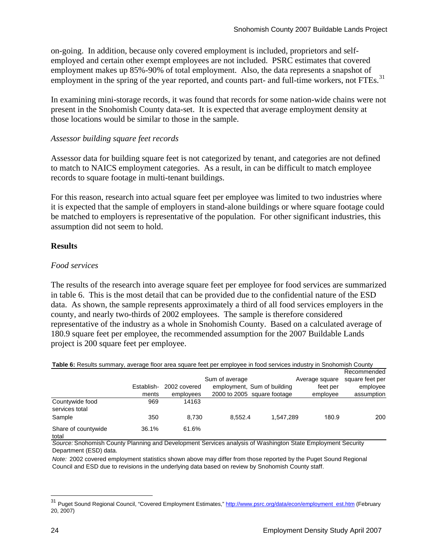on-going. In addition, because only covered employment is included, proprietors and selfemployed and certain other exempt employees are not included. PSRC estimates that covered employment makes up 85%-90% of total employment. Also, the data represents a snapshot of employment in the spring of the year reported, and counts part- and full-time workers, not FTEs.<sup>[31](#page-23-0)</sup>

In examining mini-storage records, it was found that records for some nation-wide chains were not present in the Snohomish County data-set. It is expected that average employment density at those locations would be similar to those in the sample.

## *Assessor building square feet records*

Assessor data for building square feet is not categorized by tenant, and categories are not defined to match to NAICS employment categories. As a result, in can be difficult to match employee records to square footage in multi-tenant buildings.

For this reason, research into actual square feet per employee was limited to two industries where it is expected that the sample of employers in stand-alone buildings or where square footage could be matched to employers is representative of the population. For other significant industries, this assumption did not seem to hold.

## **Results**

#### *Food services*

The results of the research into average square feet per employee for food services are summarized in table 6. This is the most detail that can be provided due to the confidential nature of the ESD data. As shown, the sample represents approximately a third of all food services employers in the county, and nearly two-thirds of 2002 employees. The sample is therefore considered representative of the industry as a whole in Snohomish County. Based on a calculated average of 180.9 square feet per employee, the recommended assumption for the 2007 Buildable Lands project is 200 square feet per employee.

**Table 6:** Results summary, average floor area square feet per employee in food services industry in Snohomish County

|                                   |            |              | Sum of average |                             | Average square | Recommended<br>square feet per |
|-----------------------------------|------------|--------------|----------------|-----------------------------|----------------|--------------------------------|
|                                   | Establish- | 2002 covered |                | employment, Sum of building | feet per       | employee                       |
|                                   | ments      | employees    |                | 2000 to 2005 square footage | employee       | assumption                     |
| Countywide food<br>services total | 969        | 14163        |                |                             |                |                                |
| Sample                            | 350        | 8.730        | 8.552.4        | 1.547.289                   | 180.9          | 200                            |
| Share of countywide<br>total      | 36.1%      | 61.6%        |                |                             |                |                                |

*Source:* Snohomish County Planning and Development Services analysis of Washington State Employment Security Department (ESD) data.

*Note:* 2002 covered employment statistics shown above may differ from those reported by the Puget Sound Regional Council and ESD due to revisions in the underlying data based on review by Snohomish County staff.

<span id="page-23-0"></span><sup>&</sup>lt;sup>31</sup> Puget Sound Regional Council, "Covered Employment Estimates," [http://www.psrc.org/data/econ/employment\\_est.htm](http://www.psrc.org/data/econ/employment_est.htm) (February 20, 2007)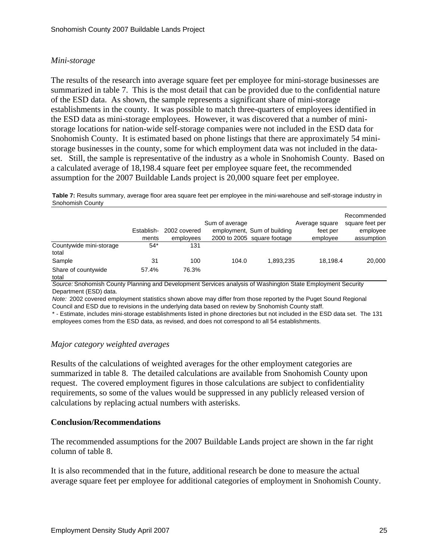#### *Mini-storage*

The results of the research into average square feet per employee for mini-storage businesses are summarized in table 7. This is the most detail that can be provided due to the confidential nature of the ESD data. As shown, the sample represents a significant share of mini-storage establishments in the county. It was possible to match three-quarters of employees identified in the ESD data as mini-storage employees. However, it was discovered that a number of ministorage locations for nation-wide self-storage companies were not included in the ESD data for Snohomish County. It is estimated based on phone listings that there are approximately 54 ministorage businesses in the county, some for which employment data was not included in the dataset. Still, the sample is representative of the industry as a whole in Snohomish County. Based on a calculated average of 18,198.4 square feet per employee square feet, the recommended assumption for the 2007 Buildable Lands project is 20,000 square feet per employee.

**Table 7:** Results summary, average floor area square feet per employee in the mini-warehouse and self-storage industry in Snohomish County

|                                  | Establish-<br>ments | 2002 covered<br>employees | Sum of average | employment, Sum of building<br>2000 to 2005 square footage | Average square<br>feet per<br>employee | Recommended<br>square feet per<br>employee<br>assumption |
|----------------------------------|---------------------|---------------------------|----------------|------------------------------------------------------------|----------------------------------------|----------------------------------------------------------|
| Countywide mini-storage<br>total | $54*$               | 131                       |                |                                                            |                                        |                                                          |
| Sample                           | 31                  | 100                       | 104.0          | 1.893.235                                                  | 18.198.4                               | 20.000                                                   |
| Share of countywide<br>total     | 57.4%               | 76.3%                     |                |                                                            |                                        |                                                          |

*Source:* Snohomish County Planning and Development Services analysis of Washington State Employment Security Department (ESD) data.

*Note:* 2002 covered employment statistics shown above may differ from those reported by the Puget Sound Regional Council and ESD due to revisions in the underlying data based on review by Snohomish County staff.

\* - Estimate, includes mini-storage establishments listed in phone directories but not included in the ESD data set. The 131 employees comes from the ESD data, as revised, and does not correspond to all 54 establishments.

#### *Major category weighted averages*

Results of the calculations of weighted averages for the other employment categories are summarized in table 8. The detailed calculations are available from Snohomish County upon request. The covered employment figures in those calculations are subject to confidentiality requirements, so some of the values would be suppressed in any publicly released version of calculations by replacing actual numbers with asterisks.

#### **Conclusion/Recommendations**

The recommended assumptions for the 2007 Buildable Lands project are shown in the far right column of table 8.

It is also recommended that in the future, additional research be done to measure the actual average square feet per employee for additional categories of employment in Snohomish County.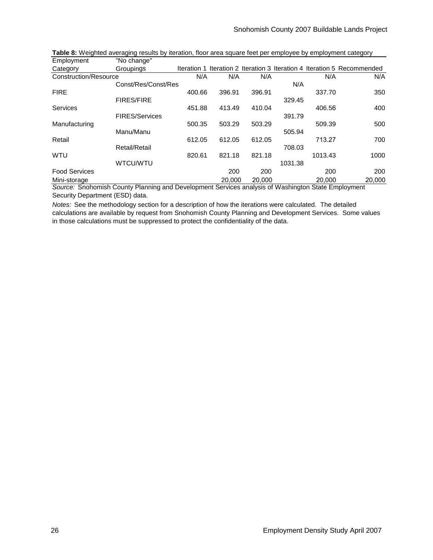| <b>LUPIOTULU</b>      | i vu uliyu            |             |        |        |         |         |                                                             |
|-----------------------|-----------------------|-------------|--------|--------|---------|---------|-------------------------------------------------------------|
| Category              | Groupings             | Iteration 1 |        |        |         |         | Iteration 2 Iteration 3 Iteration 4 Iteration 5 Recommended |
| Construction/Resource |                       | N/A         | N/A    | N/A    |         | N/A     | N/A                                                         |
|                       | Const/Res/Const/Res   |             |        |        | N/A     |         |                                                             |
| <b>FIRE</b>           |                       | 400.66      | 396.91 | 396.91 |         | 337.70  | 350                                                         |
|                       | <b>FIRES/FIRE</b>     |             |        |        | 329.45  |         |                                                             |
| <b>Services</b>       |                       | 451.88      | 413.49 | 410.04 |         | 406.56  | 400                                                         |
|                       | <b>FIRES/Services</b> |             |        |        | 391.79  |         |                                                             |
| Manufacturing         |                       | 500.35      | 503.29 | 503.29 |         | 509.39  | 500                                                         |
|                       | Manu/Manu             |             |        |        | 505.94  |         |                                                             |
| Retail                |                       | 612.05      | 612.05 | 612.05 |         | 713.27  | 700                                                         |
|                       | Retail/Retail         |             |        |        | 708.03  |         |                                                             |
| <b>WTU</b>            |                       | 820.61      | 821.18 | 821.18 |         | 1013.43 | 1000                                                        |
|                       | WTCU/WTU              |             |        |        | 1031.38 |         |                                                             |
| <b>Food Services</b>  |                       |             | 200    | 200    |         | 200     | 200                                                         |
| Mini-storage          |                       |             | 20,000 | 20,000 |         | 20,000  | 20.000                                                      |

**Employment** "No change" **Table 8:** Weighted averaging results by iteration, floor area square feet per employee by employment category

*Source:* Snohomish County Planning and Development Services analysis of Washington State Employment Security Department (ESD) data.

*Notes:* See the methodology section for a description of how the iterations were calculated. The detailed calculations are available by request from Snohomish County Planning and Development Services. Some values in those calculations must be suppressed to protect the confidentiality of the data.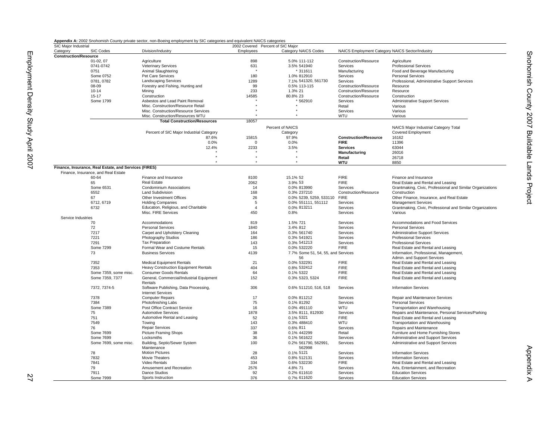| Appendix A: 2002 Snohomish County private sector, non-Boeing employment by SIC categories and equivalent NAICS categories |  |  |  |
|---------------------------------------------------------------------------------------------------------------------------|--|--|--|
|                                                                                                                           |  |  |  |

|                              |                                                       | Appendix A: 2002 Snohomish County private sector, non-Boeing employment by SIC categories and equivalent NAICS categories |                |                                    |                                                 |                                                            |
|------------------------------|-------------------------------------------------------|---------------------------------------------------------------------------------------------------------------------------|----------------|------------------------------------|-------------------------------------------------|------------------------------------------------------------|
| SIC Major Industrial         |                                                       |                                                                                                                           |                | 2002 Covered Percent of SIC Major  |                                                 |                                                            |
| Category                     | SIC Codes                                             | Division/Industry                                                                                                         | Employees      | Category NAICS Codes               | NAICS Employment Category NAICS Sector/Industry |                                                            |
| <b>Construction/Resource</b> |                                                       |                                                                                                                           |                |                                    |                                                 |                                                            |
|                              | $01-02,07$                                            | Agriculture                                                                                                               | 898            | 5.0% 111-112                       | Construction/Resource                           | Agriculture                                                |
|                              | 0741-0742                                             | <b>Veterinary Services</b>                                                                                                | 631            | 3.5% 541940                        | Services                                        | <b>Professional Services</b>                               |
|                              | 0751                                                  | Animal Slaughtering                                                                                                       |                | * 311611                           | Manufacturing                                   | Food and Beverage Manufacturing                            |
|                              | Some 0752                                             | Pet Care Services                                                                                                         | 180            | 1.0% 812910                        | Services                                        | <b>Personal Services</b>                                   |
|                              |                                                       |                                                                                                                           |                |                                    |                                                 |                                                            |
|                              | 0781.0782                                             | <b>Landscaping Services</b>                                                                                               | 1289           | 7.1% 541320.561730                 | Services                                        | Professional, Administrative Support Services              |
|                              | 08-09                                                 | Forestry and Fishing, Hunting and                                                                                         | 99             | 0.5% 113-115                       | Construction/Resource                           | Resource                                                   |
|                              | $10 - 14$                                             | Minina                                                                                                                    | 233            | 1.3% 21                            | Construction/Resource                           | Resource                                                   |
|                              | $15 - 17$                                             | Construction                                                                                                              | 14585          | 80.8% 23                           | Construction/Resource                           | Construction                                               |
|                              | Some 1799                                             | Asbestos and Lead Paint Removal                                                                                           |                | 562910                             | Services                                        | <b>Administrative Support Services</b>                     |
|                              |                                                       | Misc. Construction/Resource Retail                                                                                        |                |                                    | Retail                                          | Various                                                    |
|                              |                                                       | Misc. Construction/Resource Services                                                                                      |                |                                    | Services                                        |                                                            |
|                              |                                                       |                                                                                                                           |                |                                    |                                                 | Various                                                    |
|                              |                                                       | Misc. Construction/Resources WTU                                                                                          |                |                                    | WTU                                             | Various                                                    |
|                              |                                                       | <b>Total Construction/Resources</b>                                                                                       | 18057          |                                    |                                                 |                                                            |
|                              |                                                       |                                                                                                                           |                | Percent of NAICS                   |                                                 | NAICS Major Industrial Category Total                      |
|                              |                                                       | Percent of SIC Major Industrial Category                                                                                  |                | Category                           |                                                 | <b>Covered Employment</b>                                  |
|                              |                                                       |                                                                                                                           |                |                                    |                                                 |                                                            |
|                              |                                                       | 87.6%                                                                                                                     | 15815          | 97.9%                              | <b>Construction/Resource</b>                    | 16162                                                      |
|                              |                                                       | 0.0%                                                                                                                      | $\mathbf 0$    | 0.0%                               | <b>FIRE</b>                                     | 11396                                                      |
|                              |                                                       | 12.4%                                                                                                                     | 2233           | 3.5%                               | <b>Services</b>                                 | 63044                                                      |
|                              |                                                       |                                                                                                                           |                |                                    | Manufacturing                                   | 26016                                                      |
|                              |                                                       |                                                                                                                           |                |                                    | Retail                                          | 26718                                                      |
|                              |                                                       |                                                                                                                           | ٠              |                                    | <b>WTU</b>                                      | 8850                                                       |
|                              |                                                       |                                                                                                                           |                |                                    |                                                 |                                                            |
|                              | Finance, Insurance, Real Estate, and Services (FIRES) |                                                                                                                           |                |                                    |                                                 |                                                            |
|                              | Finance, Insurance, and Real Estate                   |                                                                                                                           |                |                                    |                                                 |                                                            |
|                              | 60-64                                                 | Finance and Insurance                                                                                                     | 8100           | 15.1% 52                           | <b>FIRE</b>                                     | Finance and Insurance                                      |
|                              | 65                                                    | Real Estate                                                                                                               | 2062           | 3.9% 53                            | <b>FIRE</b>                                     | Real Estate and Rental and Leasing                         |
|                              | Some 6531                                             | <b>Condominium Associations</b>                                                                                           | 14             | 0.0% 813990                        | Services                                        | Grantmaking, Civic, Professional and Similar Organizations |
|                              | 6552                                                  | Land Subdivision                                                                                                          | 168            | 0.3% 237210                        | Construction/Resource                           | Construction                                               |
|                              |                                                       |                                                                                                                           |                |                                    |                                                 |                                                            |
|                              | 67                                                    | Other Investment Offices                                                                                                  | 26             | 0.0% 5239, 5259, 533110            | <b>FIRE</b>                                     | Other Finance, Insurance, and Real Estate                  |
|                              | 6712, 6719                                            | <b>Holding Companies</b>                                                                                                  | 5              | 0.0% 551111, 551112                | Services                                        | <b>Management Services</b>                                 |
|                              | 6732                                                  | Education, Religious, and Charitable                                                                                      | $\overline{4}$ | 0.0% 813211                        | Services                                        | Grantmaking, Civic, Professional and Similar Organizations |
|                              |                                                       | Misc. FIRE Services                                                                                                       | 450            | 0.8%                               | Services                                        | Various                                                    |
| Service Industries           |                                                       |                                                                                                                           |                |                                    |                                                 |                                                            |
|                              | 70                                                    | Accommodations                                                                                                            | 819            | 1.5% 721                           | Services                                        | Accommodations and Food Services                           |
|                              | 72                                                    |                                                                                                                           |                |                                    |                                                 |                                                            |
|                              |                                                       | <b>Personal Services</b>                                                                                                  | 1840           | 3.4% 812                           | Services                                        | <b>Personal Services</b>                                   |
|                              | 7217                                                  | Carpet and Upholstery Cleaning                                                                                            | 164            | 0.3% 561740                        | Services                                        | Administrative Support Services                            |
|                              | 7221                                                  | Photography Studios                                                                                                       | 186            | 0.3% 541921                        | Services                                        | <b>Professional Services</b>                               |
|                              | 7291                                                  | <b>Tax Preparation</b>                                                                                                    | 143            | 0.3% 541213                        | Services                                        | <b>Professional Services</b>                               |
|                              | Some 7299                                             | Formal Wear and Costume Rentals                                                                                           | 15             | 0.0% 532220                        | <b>FIRE</b>                                     | Real Estate and Rental and Leasing                         |
|                              | 73                                                    | <b>Business Services</b>                                                                                                  | 4139           | 7.7% Some 51, 54, 55, and Services |                                                 | Information, Professional, Management,                     |
|                              |                                                       |                                                                                                                           |                |                                    |                                                 |                                                            |
|                              |                                                       |                                                                                                                           |                | 56                                 |                                                 | Admin. and Support Services                                |
|                              | 7352                                                  | <b>Medical Equipment Rentals</b>                                                                                          | 21             | 0.0% 532291                        | <b>FIRE</b>                                     | Real Estate and Rental and Leasing                         |
|                              | 7353                                                  | Heavy Construction Equipment Rentals                                                                                      | 404            | 0.8% 532412                        | <b>FIRE</b>                                     | Real Estate and Rental and Leasing                         |
|                              | Some 7359, some misc.                                 | <b>Consumer Goods Rentals</b>                                                                                             | 64             | 0.1% 5322                          | <b>FIRE</b>                                     | Real Estate and Rental and Leasing                         |
|                              | Some 7359, 7377                                       | General, Commercial/Industrial Equipment                                                                                  | 152            | 0.3% 5323, 5324                    | <b>FIRE</b>                                     | Real Estate and Rental and Leasing                         |
|                              |                                                       | Rentals                                                                                                                   |                |                                    |                                                 |                                                            |
|                              | 7372, 7374-5                                          | Software Publishing, Data Processing,                                                                                     | 306            | 0.6% 511210, 516, 518              | Services                                        | <b>Information Services</b>                                |
|                              |                                                       |                                                                                                                           |                |                                    |                                                 |                                                            |
|                              |                                                       | <b>Internet Services</b>                                                                                                  |                |                                    |                                                 |                                                            |
|                              | 7378                                                  | <b>Computer Repairs</b>                                                                                                   | 17             | 0.0% 811212                        | Services                                        | Repair and Maintenance Services                            |
|                              | 7384                                                  | Photofinishing Labs                                                                                                       | 75             | 0.1% 81292                         | Services                                        | <b>Personal Services</b>                                   |
|                              | Some 7389                                             | Post Office Contract Service                                                                                              | 16             | 0.0% 491110                        | WTU                                             | Transportation and Warehousing                             |
|                              | 75                                                    | <b>Automotive Services</b>                                                                                                | 1878           | 3.5% 8111, 812930                  | Services                                        | Repairs and Maintenance, Personal Services/Parking         |
|                              |                                                       |                                                                                                                           |                |                                    |                                                 |                                                            |
|                              | 751                                                   | Automotive Rental and Leasing                                                                                             | 52             | 0.1% 5321                          | <b>FIRE</b>                                     | Real Estate and Rental and Leasing                         |
|                              | 7549                                                  | Towing                                                                                                                    | 143            | 0.3% 488410                        | WTU                                             | Transportation and Warehousing                             |
|                              | 76                                                    | <b>Repair Services</b>                                                                                                    | 337            | 0.6% 811                           | Services                                        | Repairs and Maintenance                                    |
|                              | Some 7699                                             | <b>Picture Framing Shops</b>                                                                                              | 38             | 0.1% 442299                        | Retail                                          | Furniture and Home Furnishing Stores                       |
|                              | Some 7699                                             | Locksmiths                                                                                                                | 36             | 0.1% 561622                        | Services                                        | Administrative and Support Services                        |
|                              |                                                       |                                                                                                                           |                |                                    |                                                 |                                                            |
|                              | Some 7699, some misc.                                 | Building, Septic/Sewer System                                                                                             | 100            | 0.2% 561790, 562991,               | Services                                        | Administrative and Support Services                        |
|                              |                                                       | Maintenance                                                                                                               |                | 562998                             |                                                 |                                                            |
|                              | 78                                                    | <b>Motion Pictures</b>                                                                                                    | 28             | 0.1% 5121                          | Services                                        | <b>Information Services</b>                                |
|                              | 7832                                                  | Movie Theaters                                                                                                            | 453            | 0.8% 512131                        | Services                                        | <b>Information Services</b>                                |
|                              | 7841                                                  | Video Rentals                                                                                                             | 334            | 0.6% 532230                        | <b>FIRE</b>                                     | Real Estate and Rental and Leasing                         |
|                              |                                                       |                                                                                                                           |                |                                    |                                                 |                                                            |
|                              | 79                                                    | Amusement and Recreation                                                                                                  | 2576           | 4.8% 71                            | Services                                        | Arts, Entertainment, and Recreation                        |
|                              | 7911                                                  | Dance Studios                                                                                                             | 92             | 0.2% 611610                        | Services                                        | <b>Education Services</b>                                  |
|                              | Some 7999                                             | Sports Instruction                                                                                                        | 376            | 0.7% 611620                        | Services                                        | <b>Education Services</b>                                  |
|                              |                                                       |                                                                                                                           |                |                                    |                                                 |                                                            |

Snohomish County 2007 Buildable Lands Project

Snohomish County 2007 Buildable Lands Project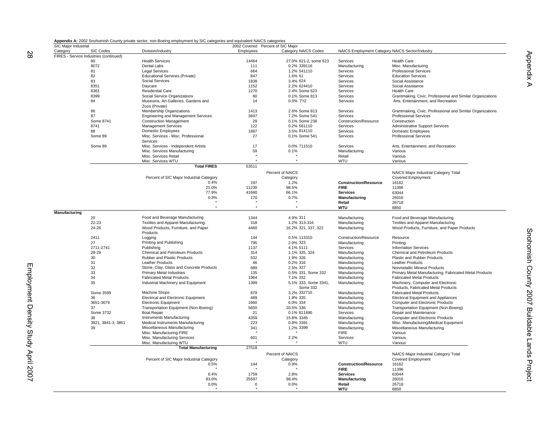| Appendix A: 2002 Snohomish County private sector, non-Boeing employment by SIC categories and equivalent NAICS categories |  |  |  |
|---------------------------------------------------------------------------------------------------------------------------|--|--|--|
|                                                                                                                           |  |  |  |

Employment Density Study April 2007

Employment Density Study April 2007

|                      |                                        | Appendix A: 2002 Shohomish County private sector, non-Boeing employment by SIC categories and equivalent NAICS categories |             |                                   |                                                 |                                                            |
|----------------------|----------------------------------------|---------------------------------------------------------------------------------------------------------------------------|-------------|-----------------------------------|-------------------------------------------------|------------------------------------------------------------|
| SIC Major Industrial |                                        |                                                                                                                           |             | 2002 Covered Percent of SIC Major |                                                 |                                                            |
| Category             | SIC Codes                              | Division/Industry                                                                                                         | Employees   | Category NAICS Codes              | NAICS Employment Category NAICS Sector/Industry |                                                            |
|                      | FIRES - Service Industries (continued) |                                                                                                                           |             |                                   |                                                 |                                                            |
|                      | 80                                     | <b>Health Services</b>                                                                                                    | 14464       | 27.0% 621-2, some 623             | Services                                        | <b>Health Care</b>                                         |
|                      | 8072                                   | Dental Labs                                                                                                               | 111         | 0.2% 339116                       | Manufacturing                                   | Misc. Manufacturing                                        |
|                      | 81                                     | <b>Legal Services</b>                                                                                                     | 664         | 1.2% 541110                       | Services                                        | <b>Professional Services</b>                               |
|                      | 82                                     | <b>Educational Services (Private)</b>                                                                                     | 847         | 1.6% 61                           | Services                                        | <b>Education Services</b>                                  |
|                      | 83                                     | Social Services                                                                                                           | 1838        | 3.4% 624                          | Services                                        | Social Assistance                                          |
|                      | 8351                                   | Daycare                                                                                                                   | 1152        | 2.2% 624410                       | Services                                        | Social Assistance                                          |
|                      | 8361                                   | <b>Residential Care</b>                                                                                                   | 1270        | 2.4% Some 623                     | Services                                        | <b>Health Care</b>                                         |
|                      | 8399                                   | Social Service Organizations                                                                                              | 60          | 0.1% Some 813                     | Services                                        | Grantmaking, Civic, Professional and Similar Organizations |
|                      |                                        |                                                                                                                           |             |                                   |                                                 |                                                            |
|                      | 84                                     | Museums, Art Galleries, Gardens and                                                                                       | 14          | 0.0% 712                          | Services                                        | Arts, Entertainment, and Recreation                        |
|                      |                                        | Zoos (Private)                                                                                                            |             |                                   |                                                 |                                                            |
|                      | 86                                     | Membership Organizations                                                                                                  | 1413        | 2.6% Some 813                     | Services                                        | Grantmaking, Civic, Professional and Similar Organizations |
|                      | 87                                     | <b>Engineering and Management Services</b>                                                                                | 3847        | 7.2% Some 541                     | Services                                        | <b>Professional Services</b>                               |
|                      | Some 8741                              | <b>Construction Management</b>                                                                                            | 29          | 0.1% Some 236                     | Construction/Resource                           | Construction                                               |
|                      | 8741                                   | <b>Management Services</b>                                                                                                | 122         | 0.2% 561110                       | Services                                        | <b>Administrative Support Services</b>                     |
|                      | 88                                     | <b>Domestic Employees</b>                                                                                                 | 1887        | 3.5% 814110                       | Services                                        | Domestic Employees                                         |
|                      | Some 89                                | Misc. Services - Misc. Professional                                                                                       | 27          | 0.1% Some 541                     | Services                                        | <b>Professional Services</b>                               |
|                      |                                        |                                                                                                                           |             |                                   |                                                 |                                                            |
|                      |                                        | Services                                                                                                                  |             |                                   |                                                 |                                                            |
|                      | Some 89                                | Misc. Services - Independent Artists                                                                                      | 17          | 0.0% 711510                       | Services                                        | Arts, Entertainment, and Recreation                        |
|                      |                                        | Misc. Services Manufacturing                                                                                              | 59          | 0.1%                              | Manufacturing                                   | Various                                                    |
|                      |                                        | Misc. Services Retail                                                                                                     |             |                                   | Retail                                          | Various                                                    |
|                      |                                        | Misc. Services WTU                                                                                                        | $\bullet$   | $\ddot{\phantom{1}}$              | WTU                                             | Various                                                    |
|                      |                                        | <b>Total FIRES</b>                                                                                                        | 53511       |                                   |                                                 |                                                            |
|                      |                                        |                                                                                                                           |             | Percent of NAICS                  |                                                 | NAICS Major Industrial Category Total                      |
|                      |                                        |                                                                                                                           |             |                                   |                                                 |                                                            |
|                      |                                        | Percent of SIC Major Industrial Category                                                                                  |             | Category                          |                                                 | Covered Employment                                         |
|                      |                                        | 0.4%                                                                                                                      | 197         | 1.2%                              | <b>Construction/Resource</b>                    | 16162                                                      |
|                      |                                        | 21.0%                                                                                                                     | 11230       | 98.5%                             | <b>FIRE</b>                                     | 11396                                                      |
|                      |                                        | 77.9%                                                                                                                     | 41660       | 66.1%                             | <b>Services</b>                                 | 63044                                                      |
|                      |                                        | 0.3%                                                                                                                      | 170         | 0.7%                              | Manufacturing                                   | 26016                                                      |
|                      |                                        |                                                                                                                           |             |                                   | Retail                                          | 26718                                                      |
|                      |                                        | ×                                                                                                                         | $\star$     | $\bullet$                         | <b>WTU</b>                                      | 8850                                                       |
| Manufacturing        |                                        |                                                                                                                           |             |                                   |                                                 |                                                            |
|                      | 20                                     | Food and Beverage Manufacturing                                                                                           | 1344        | 4.9% 311                          | Manufacturing                                   | Food and Beverage Manufacturing                            |
|                      |                                        |                                                                                                                           |             |                                   |                                                 |                                                            |
|                      | 22-23                                  | <b>Textiles and Apparel Manufacturing</b>                                                                                 | 318         | 1.2% 313-316                      | Manufacturing                                   | <b>Textiles and Apparel Manufacturing</b>                  |
|                      | 24-26                                  | Wood Products, Furniture, and Paper                                                                                       | 4460        | 16.2% 321, 337, 322               | Manufacturing                                   | Wood Products, Furniture, and Paper Products               |
|                      |                                        | Products                                                                                                                  |             |                                   |                                                 |                                                            |
|                      | 2411                                   | Logging                                                                                                                   | 144         | 0.5% 113310                       | Construction/Resource                           | Resource                                                   |
|                      | 27                                     | Printing and Publishing                                                                                                   | 795         | 2.9% 323                          | Manufacturing                                   | Printina                                                   |
|                      | 2711-2741                              | Publishing                                                                                                                | 1137        | 4.1% 5111                         | Services                                        | <b>Information Services</b>                                |
|                      | 28-29                                  | Chemical and Petroleum Products                                                                                           | 314         | 1.1% 325, 324                     | Manufacturing                                   | Chemical and Petroleum Products                            |
|                      | 30                                     | Rubber and Plastic Products                                                                                               | 532         | 1.9% 326                          | Manufacturing                                   | Plastic and Rubber Products                                |
|                      |                                        |                                                                                                                           |             |                                   |                                                 |                                                            |
|                      | 31                                     | Leather Products                                                                                                          | 46          | 0.2% 316                          | Manufacturing                                   | <b>Leather Products</b>                                    |
|                      | 32                                     | Stone, Clay, Glass and Concrete Products                                                                                  | 689         | 2.5% 327                          | Manufacturing                                   | Nonmetallic Mineral Products                               |
|                      | 33                                     | Primary Metal Industries                                                                                                  | 135         | 0.5% 331, Some 332                | Manufacturing                                   | Primary Metal Manufacturing, Fabricated Metal Products     |
|                      | 34                                     | <b>Fabricated Metal Products</b>                                                                                          | 1964        | 7.1% 332                          | Manufacturing                                   | <b>Fabricated Metal Products</b>                           |
|                      | 35                                     | Industrial Machinery and Equipment                                                                                        | 1399        | 5.1% 333, Some 3341,              | Manufacturing                                   | Machinery, Computer and Electronic                         |
|                      |                                        |                                                                                                                           |             | Some 332                          |                                                 | Products, Fabricated Metal Products                        |
|                      | Some 3599                              | Machine Shops                                                                                                             | 879         | 3.2% 332710                       | Manufacturing                                   | <b>Fabricated Metal Products</b>                           |
|                      | 36                                     | <b>Electrical and Electronic Equipment</b>                                                                                | 489         | 1.8% 335                          | Manufacturing                                   | <b>Electrical Equipment and Appliances</b>                 |
|                      | 3651-3679                              | <b>Electronic Equipment</b>                                                                                               | 1660        | 6.0% 334                          | Manufacturing                                   | Computer and Electronic Products                           |
|                      |                                        |                                                                                                                           |             |                                   |                                                 |                                                            |
|                      | 37                                     | Transportation Equipment (Non-Boeing)                                                                                     | 5650        | 20.5% 336                         | Manufacturing                                   | Transportation Equipment (Non-Boeing)                      |
|                      | Some 3732                              | <b>Boat Repair</b>                                                                                                        | 21          | 0.1% 811490                       | Services                                        | Repair and Maintenance                                     |
|                      | 38                                     | Instruments Manufacturing                                                                                                 | 4359        | 15.8% 3345                        | Manufacturing                                   | <b>Computer and Electronic Products</b>                    |
|                      | 3821, 3841-3, 3851                     | Medical Instruments Manufacturing                                                                                         | 223         | 0.8% 3391                         | Manufacturing                                   | Misc. Manufacturing/Medical Equipment                      |
|                      | 39                                     | Miscellaneous Manufacturing                                                                                               | 341         | 1.2% 3399                         | Manufacturing                                   | Miscellaneous Manufacturing                                |
|                      |                                        | Misc. Manufacturing FIRE                                                                                                  |             |                                   | <b>FIRE</b>                                     | Various                                                    |
|                      |                                        | Misc. Manufacturing Services                                                                                              | 601         | 2.2%                              | Services                                        | Various                                                    |
|                      |                                        | Misc. Manufacturing WTU                                                                                                   |             |                                   | WTU                                             | Various                                                    |
|                      |                                        | <b>Total Manufacturing</b>                                                                                                | 27518       |                                   |                                                 |                                                            |
|                      |                                        |                                                                                                                           |             |                                   |                                                 |                                                            |
|                      |                                        |                                                                                                                           |             | Percent of NAICS                  |                                                 | NAICS Major Industrial Category Total                      |
|                      |                                        | Percent of SIC Major Industrial Category                                                                                  |             | Category                          |                                                 | <b>Covered Employment</b>                                  |
|                      |                                        | 0.5%                                                                                                                      | 144         | 0.9%                              | <b>Construction/Resource</b>                    | 16162                                                      |
|                      |                                        |                                                                                                                           |             |                                   | <b>FIRE</b>                                     | 11396                                                      |
|                      |                                        | 6.4%                                                                                                                      | 1759        | 2.8%                              | <b>Services</b>                                 | 63044                                                      |
|                      |                                        |                                                                                                                           |             |                                   |                                                 |                                                            |
|                      |                                        | 93.0%                                                                                                                     | 25597       | 98.4%                             | Manufacturing                                   | 26016                                                      |
|                      |                                        | 0.0%                                                                                                                      | $\mathbf 0$ | 0.0%                              | Retail                                          | 26718                                                      |
|                      |                                        |                                                                                                                           |             |                                   | <b>WTU</b>                                      | 8850                                                       |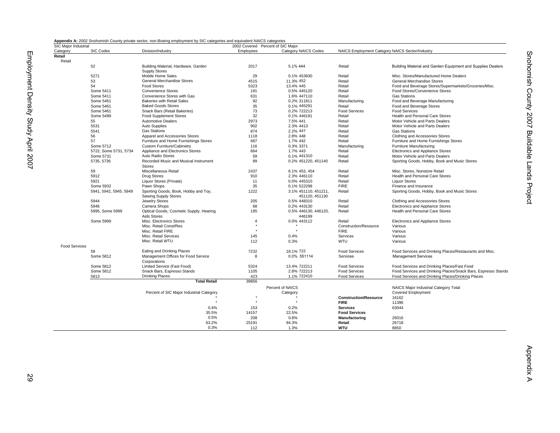|  | Appendix A: 2002 Snohomish County private sector, non-Boeing employment by SIC categories and equivalent NAICS categories |  |  |  |  |
|--|---------------------------------------------------------------------------------------------------------------------------|--|--|--|--|
|--|---------------------------------------------------------------------------------------------------------------------------|--|--|--|--|

| SIC Major Industrial |                        |                                          | 2002 Covered Percent of SIC Major |                      |                                                 |                                                               |
|----------------------|------------------------|------------------------------------------|-----------------------------------|----------------------|-------------------------------------------------|---------------------------------------------------------------|
| Category             | SIC Codes              | Division/Industry                        | Employees                         | Category NAICS Codes | NAICS Employment Category NAICS Sector/Industry |                                                               |
| Retail               |                        |                                          |                                   |                      |                                                 |                                                               |
| Retail               |                        |                                          |                                   |                      |                                                 |                                                               |
|                      | 52                     | Building Material, Hardware, Garden      | 2017                              | 5.1% 444             | Retail                                          | Building Material and Garden Equipment and Supplies Dealers   |
|                      |                        | <b>Supply Stores</b>                     |                                   |                      |                                                 |                                                               |
|                      | 5271                   | Mobile Home Sales                        | 29                                | 0.1% 453930          | Retail                                          | Misc. Stores/Manufactured Home Dealers                        |
|                      | 53                     | General Merchandise Stores               | 4515                              | 11.3% 452            | Retail                                          | General Merchandise Stores                                    |
|                      | 54                     | <b>Food Stores</b>                       | 5323                              | 13.4% 445            | Retail                                          | Food and Beverage Stores/Supermarkets/Groceries/Misc.         |
|                      | Some 5411              | <b>Convenience Stores</b>                | 191                               | 0.5% 445120          | Retail                                          | Food Stores/Convenience Stores                                |
|                      | Some 5411              | Convenience Stores with Gas              | 631                               | 1.6% 447110          | Retail                                          | Gas Stations                                                  |
|                      | Some 5461              | <b>Bakeries with Retail Sales</b>        | 92                                | 0.2% 311811          | Manufacturing                                   | Food and Beverage Manufacturing                               |
|                      | Some 5461              | <b>Baked Goods Stores</b>                | 35                                | 0.1% 445291          | Retail                                          | Food and Beverage Stores                                      |
|                      | Some 5461              | Snack Bars (Retail Bakeries)             | 73                                | 0.2% 722213          | <b>Food Services</b>                            | <b>Food Services</b>                                          |
|                      | Some 5499              | <b>Food Supplement Stores</b>            | 32                                | 0.1% 446191          | Retail                                          | <b>Health and Personal Care Stores</b>                        |
|                      | 55                     | <b>Automotive Dealers</b>                | 2973                              | 7.5% 441             | Retail                                          | Motor Vehicle and Parts Dealers                               |
|                      | 5531                   | <b>Auto Supplies</b>                     | 902                               | 2.3% 4413            | Retail                                          | Motor Vehicle and Parts Dealers                               |
|                      | 5541                   | <b>Gas Stations</b>                      | 874                               | 2.2% 447             | Retail                                          | <b>Gas Stations</b>                                           |
|                      | 56                     | Apparel and Accessories Stores           | 1118                              | 2.8% 448             | Retail                                          | Clothing and Accessories Stores                               |
|                      | 57                     | Furniture and Home Furnishings Stores    | 687                               | 1.7% 442             | Retail                                          | Furniture and Home Furnishings Stores                         |
|                      | Some 5712              | <b>Custom Furniture/Cabinetry</b>        | 116                               | 0.3% 3371            | Manufacturing                                   | Furniture Manufacturing                                       |
|                      | 5722, Some 5731, 5734  | Appliance and Electronics Stores         | 664                               | 1.7% 443             | Retail                                          | Electronics and Appliance Stores                              |
|                      | Some 5731              | Auto Radio Stores                        | 59                                | 0.1% 441310          | Retail                                          | Motor Vehicle and Parts Dealers                               |
|                      | 5735, 5736             | Recorded Music and Musical Instrument    | 89                                | 0.2% 451220, 451140  | Retail                                          | Sporting Goods, Hobby, Book and Music Stores                  |
|                      |                        | <b>Stores</b>                            |                                   |                      |                                                 |                                                               |
|                      | 59                     | Miscellaneous Retail                     | 2437                              | 6.1% 453, 454        | Retail                                          | Misc. Stores, Nonstore Retail                                 |
|                      | 5912                   | <b>Drug Stores</b>                       | 910                               | 2.3% 446110          | Retail                                          | <b>Health and Personal Care Stores</b>                        |
|                      | 5921                   | Liquor Stores (Private)                  | 11                                | 0.0% 445310          | Retail                                          | <b>Liquor Stores</b>                                          |
|                      | Some 5932              | Pawn Shops                               | 35                                | 0.1% 522298          | <b>FIRE</b>                                     | Finance and Insurance                                         |
|                      | 5941, 5942, 5945, 5949 | Sporting Goods, Book, Hobby and Toy,     | 1222                              | 3.1% 451110, 451211, | Retail                                          | Sporting Goods, Hobby, Book and Music Stores                  |
|                      |                        | Sewing Supply Stores                     |                                   | 451120.451130        |                                                 |                                                               |
|                      | 5944                   | Jewelry Stores                           | 205                               | 0.5% 448310          | Retail                                          | Clothing and Accessories Stores                               |
|                      | 5946                   | Camera Shops                             | 68                                | 0.2% 443130          | Retail                                          | <b>Electronics and Appliance Stores</b>                       |
|                      | 5995, Some 5999        | Optical Goods, Cosmetic Supply, Hearing  | 195                               | 0.5% 446130, 446120, | Retail                                          | Health and Personal Care Stores                               |
|                      |                        | Aids Stores                              |                                   | 446199               |                                                 |                                                               |
|                      | Some 5999              | Misc. Electronics Stores                 | $\overline{4}$                    | 0.0% 443112          | Retail                                          | Electronics and Appliance Stores                              |
|                      |                        | Misc. Retail Const/Res                   |                                   |                      | Construction/Resource                           | Various                                                       |
|                      |                        | Misc. Retail FIRE                        |                                   |                      | <b>FIRE</b>                                     | Various                                                       |
|                      |                        | Misc. Retail Services                    | 145                               | 0.4%                 | Services                                        | Various                                                       |
|                      |                        | Misc. Retail WTU                         | 112                               | 0.3%                 | WTU                                             | Various                                                       |
| <b>Food Services</b> |                        |                                          |                                   |                      |                                                 |                                                               |
|                      | 58                     | Eating and Drinking Places               | 7232                              | 18.1% 722            | <b>Food Services</b>                            | Food Services and Drinking Places/Restaurants and Misc.       |
|                      | Some 5812              | Management Offices for Food Service      | 8                                 | 0.0% 551114          | Services                                        | <b>Management Services</b>                                    |
|                      |                        | Corporations                             |                                   |                      |                                                 |                                                               |
|                      | Some 5812              | Limited Service (Fast Food)              | 5324                              | 13.4% 722211         | <b>Food Services</b>                            | Food Services and Drinking Places/Fast Food                   |
|                      | Some 5812              | Snack Bars, Espresso Stands              | 1105                              | 2.8% 722213          | <b>Food Services</b>                            | Food Services and Drinking Places/Snack Bars, Espresso Stands |
|                      | 5813                   | <b>Drinking Places</b>                   | 423                               | 1.1% 722410          | <b>Food Services</b>                            | Food Services and Drinking Places/Drinking Places             |
|                      |                        | <b>Total Retail</b>                      | 39856                             |                      |                                                 |                                                               |
|                      |                        |                                          |                                   |                      |                                                 |                                                               |
|                      |                        |                                          |                                   | Percent of NAICS     |                                                 | NAICS Major Industrial Category Total                         |
|                      |                        | Percent of SIC Major Industrial Category |                                   | Category             |                                                 | Covered Employment                                            |
|                      |                        |                                          |                                   |                      | <b>Construction/Resource</b>                    | 16162                                                         |
|                      |                        |                                          |                                   |                      | <b>FIRE</b>                                     | 11396                                                         |
|                      |                        | 0.4%                                     | 153                               | 0.2%                 | <b>Services</b>                                 | 63044                                                         |
|                      |                        | 35.5%                                    | 14157                             | 22.5%                | <b>Food Services</b>                            |                                                               |
|                      |                        | 0.5%                                     | 208                               | 0.8%                 | Manufacturing                                   | 26016                                                         |
|                      |                        | 63.2%                                    | 25191                             | 94.3%                | Retail                                          | 26718                                                         |
|                      |                        | 0.3%                                     | 112                               | 1.3%                 | WTU                                             | 8850                                                          |

Snohomish County 2007 Buildable Lands Project

Snohomish County 2007 Buildable Lands Project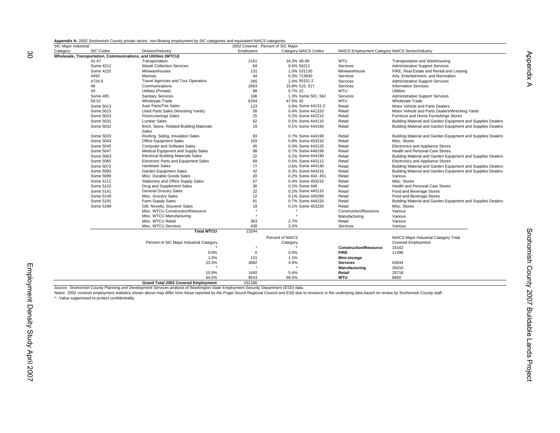| Appendix A: 2002 Snohomish County private sector, non-Boeing employment by SIC categories and equivalent NAICS categories |  |  |  |
|---------------------------------------------------------------------------------------------------------------------------|--|--|--|
|                                                                                                                           |  |  |  |

| SIC Major Industrial |                        |                                                                                                                                                                                                                     | 2002 Covered Percent of SIC Major |                             |                                                 |                                                             |
|----------------------|------------------------|---------------------------------------------------------------------------------------------------------------------------------------------------------------------------------------------------------------------|-----------------------------------|-----------------------------|-------------------------------------------------|-------------------------------------------------------------|
| Category             | <b>SIC Codes</b>       | Division/Industry                                                                                                                                                                                                   | Employees                         | <b>Category NAICS Codes</b> | NAICS Employment Category NAICS Sector/Industry |                                                             |
|                      |                        | Wholesale, Transportation, Communications, and Utilities (WTCU)                                                                                                                                                     |                                   |                             |                                                 |                                                             |
|                      | $41 - 47$              | Transportation                                                                                                                                                                                                      | 2161                              | 16.3% 48-49                 | WTU                                             | Transportation and Warehousing                              |
|                      | Some 4212              | <b>Waste Collection Services</b>                                                                                                                                                                                    | 84                                | 0.6% 56211                  | Services                                        | <b>Administrative Support Services</b>                      |
|                      | Some 4225              | Miniwarehouses                                                                                                                                                                                                      | 131                               | 1.0% 531130                 | Miniwarehouse                                   | FIRE, Real Estate and Rental and Leasing                    |
|                      | 4493                   | Marinas                                                                                                                                                                                                             | 44                                | 0.3% 713930                 | Services                                        | Arts, Entertainment, and Recreation                         |
|                      | 4724-5                 | <b>Travel Agencies and Tour Operators</b>                                                                                                                                                                           | 265                               | 2.0% 56151-2                | Services                                        | <b>Administrative Support Services</b>                      |
|                      | 48                     | Communications                                                                                                                                                                                                      | 2093                              | 15.8% 515, 517              | Services                                        | <b>Information Services</b>                                 |
|                      | 49                     | Utilities (Private)                                                                                                                                                                                                 | 88                                | 0.7% 22                     | WTU                                             | <b>Utilities</b>                                            |
|                      | Some 495               | <b>Sanitary Services</b>                                                                                                                                                                                            | 166                               | 1.3% Some 561, 562          | Services                                        | <b>Administrative Support Services</b>                      |
|                      | 50-51                  | <b>Wholesale Trade</b>                                                                                                                                                                                              | 6294                              | 47.5% 42                    | WTU                                             | <b>Wholesale Trade</b>                                      |
|                      | Some 5013              | Auto Parts/Tire Sales                                                                                                                                                                                               | 123                               | 0.9% Some 44131-2           | Retail                                          | Motor Vehicle and Parts Dealers                             |
|                      | Some 5015              | Used Parts Sales (Wrecking Yards)                                                                                                                                                                                   | 58                                | 0.4% Some 441310            | Retail                                          | Motor Vehicle and Parts Dealers/Wrecking Yards              |
|                      | Some 5023              | <b>Floorcoverings Sales</b>                                                                                                                                                                                         | 25                                | 0.2% Some 442210            | Retail                                          | Furniture and Home Furnishings Stores                       |
|                      | Some 5031              | <b>Lumber Sales</b>                                                                                                                                                                                                 | 62                                | 0.5% Some 444110            | Retail                                          | Building Material and Garden Equipment and Supplies Dealers |
|                      | Some 5032              | Brick, Stone, Related Building Materials                                                                                                                                                                            | 19                                | 0.1% Some 444190            | Retail                                          | Building Material and Garden Equipment and Supplies Dealers |
|                      |                        | Sales                                                                                                                                                                                                               |                                   |                             |                                                 |                                                             |
|                      | Some 5033              | Roofing, Siding, Insulation Sales                                                                                                                                                                                   | 93                                | 0.7% Some 444190            | Retail                                          | Building Material and Garden Equipment and Supplies Dealers |
|                      | Some 5044              | Office Equipment Sales                                                                                                                                                                                              | 103                               | 0.8% Some 453210            | Retail                                          | Misc. Stores                                                |
|                      | Some 5045              | <b>Computer and Software Sales</b>                                                                                                                                                                                  | 45                                | 0.3% Some 443120            | Retail                                          | Electronics and Appliance Stores                            |
|                      | Some 5047              | Medical Equipment and Supply Sales                                                                                                                                                                                  | 98                                | 0.7% Some 446199            | Retail                                          | Health and Personal Care Stores                             |
|                      | Some 5063              | <b>Electrical Building Materials Sales</b>                                                                                                                                                                          | 22                                | 0.2% Some 444190            | Retail                                          | Building Material and Garden Equipment and Supplies Dealers |
|                      | Some 5065              | Electronic Parts and Equipment Sales                                                                                                                                                                                | 69                                | 0.5% Some 443112            | Retail                                          | Electronics and Appliance Stores                            |
|                      | Some 5072              | <b>Hardware Sales</b>                                                                                                                                                                                               | 77                                | 0.6% Some 444130            | Retail                                          | Building Material and Garden Equipment and Supplies Dealers |
|                      | Some 5083              | Garden Equipment Sales                                                                                                                                                                                              | 42                                | 0.3% Some 444210            | Retail                                          | Building Material and Garden Equipment and Supplies Dealers |
|                      | Some 5099              | Misc. Durable Goods Sales                                                                                                                                                                                           | 20                                | 0.2% Some 444, 451          | Retail                                          | Various                                                     |
|                      | Some 5112              | Stationery and Office Supply Sales                                                                                                                                                                                  | 57                                | 0.4% Some 453210            | Retail                                          | Misc. Stores                                                |
|                      | Some 5122              | Drug and Supplement Sales                                                                                                                                                                                           | 30                                | 0.2% Some 446               | Retail                                          | <b>Health and Personal Care Stores</b>                      |
|                      | Some 5141              | <b>General Grocery Sales</b>                                                                                                                                                                                        |                                   | 0.2% Some 445110            | Retail                                          |                                                             |
|                      |                        | Misc. Grocery Sales                                                                                                                                                                                                 | 22                                |                             |                                                 | Food and Beverage Stores                                    |
|                      | Some 5149<br>Some 5191 |                                                                                                                                                                                                                     | 12<br>91                          | 0.1% Some 445299            | Retail<br>Retail                                | Food and Beverage Stores                                    |
|                      |                        | Farm Supply Sales                                                                                                                                                                                                   |                                   | 0.7% Some 444220            |                                                 | Building Material and Garden Equipment and Supplies Dealers |
|                      | Some 5199              | Gift, Novelty, Souvenir Sales                                                                                                                                                                                       | 19                                | 0.1% Some 453220            | Retail                                          | Misc. Stores                                                |
|                      |                        | Misc. WTCU Construction/Resource                                                                                                                                                                                    |                                   |                             | Construction/Resource                           | Various                                                     |
|                      |                        | Misc. WTCU Manufacturing                                                                                                                                                                                            |                                   |                             | Manufacturing                                   | Various                                                     |
|                      |                        | Misc. WTCU Retail                                                                                                                                                                                                   | 363                               | 2.7%                        | Retail                                          | Various                                                     |
|                      |                        | Misc. WTCU Services                                                                                                                                                                                                 | 430                               | 3.2%                        | Services                                        | Various                                                     |
|                      |                        | <b>Total WTCU</b>                                                                                                                                                                                                   | 13244                             |                             |                                                 |                                                             |
|                      |                        |                                                                                                                                                                                                                     |                                   | Percent of NAICS            |                                                 | NAICS Major Industrial Category Total                       |
|                      |                        | Percent of SIC Major Industrial Category                                                                                                                                                                            |                                   | Category                    |                                                 | <b>Covered Employment</b>                                   |
|                      |                        |                                                                                                                                                                                                                     |                                   |                             | <b>Construction/Resource</b>                    | 16162                                                       |
|                      |                        | 0.0%                                                                                                                                                                                                                | $\mathbf 0$                       | 0.0%                        | <b>FIRE</b>                                     | 11396                                                       |
|                      |                        | 1.0%                                                                                                                                                                                                                | 131                               | 1.1%                        | Mini-storage                                    |                                                             |
|                      |                        | 23.3%                                                                                                                                                                                                               | 3082                              | 4.9%                        | <b>Services</b>                                 | 63044                                                       |
|                      |                        |                                                                                                                                                                                                                     |                                   |                             | Manufacturing                                   | 26016                                                       |
|                      |                        | 10.9%                                                                                                                                                                                                               | 1450                              | 5.4%                        | Retail                                          | 26718                                                       |
|                      |                        | 64.5%                                                                                                                                                                                                               | 8543                              | 96.5%                       | <b>WTU</b>                                      | 8850                                                        |
|                      |                        | <b>Grand Total 2002 Covered Employment</b>                                                                                                                                                                          | 152186                            |                             |                                                 |                                                             |
|                      |                        | Source: Snohomish County Planning and Development Services analysis of Washington State Employment Security Department (ESD) data.                                                                                  |                                   |                             |                                                 |                                                             |
|                      |                        | Notes: 2002 covered employment statistics shown above may differ from those reported by the Puget Sound Regional Council and ESD due to revisions in the underlying data based on review by Snohomish County staff. |                                   |                             |                                                 |                                                             |

\* - Value suppressed to protect confidentiality.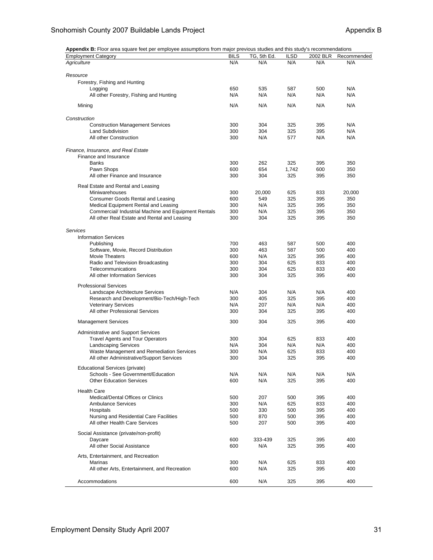**Appendix B:** Floor area square feet per employee assumptions from major previous studies and this study's recommendations

| <b>Employment Category</b>                           | <b>BILS</b> | TG, 5th Ed. | <b>ILSD</b> | 2002 BLR | Recommended |
|------------------------------------------------------|-------------|-------------|-------------|----------|-------------|
| Agriculture                                          | N/A         | N/A         | N/A         | N/A      | N/A         |
|                                                      |             |             |             |          |             |
| Resource                                             |             |             |             |          |             |
| Forestry, Fishing and Hunting                        |             |             |             |          |             |
| Logging                                              | 650         | 535         | 587         | 500      | N/A         |
| All other Forestry, Fishing and Hunting              | N/A         | N/A         | N/A         | N/A      | N/A         |
|                                                      |             |             |             |          |             |
| Mining                                               | N/A         | N/A         | N/A         | N/A      | N/A         |
|                                                      |             |             |             |          |             |
| Construction                                         |             |             |             |          |             |
| <b>Construction Management Services</b>              | 300         | 304         | 325         | 395      | N/A         |
| <b>Land Subdivision</b>                              | 300         | 304         | 325         | 395      | N/A         |
| All other Construction                               | 300         | N/A         | 577         | N/A      | N/A         |
|                                                      |             |             |             |          |             |
| Finance, Insurance, and Real Estate                  |             |             |             |          |             |
| Finance and Insurance                                |             |             |             |          |             |
| <b>Banks</b>                                         | 300         | 262         | 325         | 395      | 350         |
| Pawn Shops                                           | 600         | 654         | 1,742       | 600      | 350         |
| All other Finance and Insurance                      | 300         | 304         | 325         | 395      | 350         |
| Real Estate and Rental and Leasing                   |             |             |             |          |             |
| Miniwarehouses                                       | 300         | 20,000      | 625         | 833      | 20,000      |
| Consumer Goods Rental and Leasing                    | 600         | 549         | 325         | 395      | 350         |
| Medical Equipment Rental and Leasing                 | 300         | N/A         | 325         | 395      | 350         |
| Commercial/ Industrial Machine and Equipment Rentals | 300         | N/A         | 325         | 395      | 350         |
| All other Real Estate and Rental and Leasing         | 300         | 304         | 325         | 395      | 350         |
|                                                      |             |             |             |          |             |
| Services                                             |             |             |             |          |             |
| <b>Information Services</b>                          |             |             |             |          |             |
| Publishing                                           | 700         | 463         | 587         | 500      | 400         |
| Software, Movie, Record Distribution                 | 300         | 463         | 587         | 500      | 400         |
| Movie Theaters                                       | 600         | N/A         | 325         | 395      | 400         |
|                                                      | 300         | 304         | 625         | 833      | 400         |
| Radio and Television Broadcasting                    |             |             |             |          |             |
| Telecommunications                                   | 300         | 304         | 625         | 833      | 400         |
| All other Information Services                       | 300         | 304         | 325         | 395      | 400         |
| <b>Professional Services</b>                         |             |             |             |          |             |
| Landscape Architecture Services                      | N/A         | 304         | N/A         | N/A      | 400         |
| Research and Development/Bio-Tech/High-Tech          | 300         | 405         | 325         | 395      | 400         |
| <b>Veterinary Services</b>                           | N/A         | 207         | N/A         | N/A      | 400         |
| All other Professional Services                      | 300         | 304         | 325         | 395      | 400         |
|                                                      |             |             |             |          |             |
| <b>Management Services</b>                           | 300         | 304         | 325         | 395      | 400         |
|                                                      |             |             |             |          |             |
| <b>Administrative and Support Services</b>           |             |             |             |          |             |
| <b>Travel Agents and Tour Operators</b>              | 300         | 304         | 625         | 833      | 400         |
| <b>Landscaping Services</b>                          | N/A         | 304         | N/A         | N/A      | 400         |
| Waste Management and Remediation Services            | 300         | N/A         | 625         | 833      | 400         |
| All other Administrative/Support Services            | 300         | 304         | 325         | 395      | 400         |
| <b>Educational Services (private)</b>                |             |             |             |          |             |
| Schools - See Government/Education                   | N/A         | N/A         | N/A         | N/A      | N/A         |
| <b>Other Education Services</b>                      | 600         | N/A         | 325         | 395      | 400         |
|                                                      |             |             |             |          |             |
| <b>Health Care</b>                                   |             |             |             |          |             |
| Medical/Dental Offices or Clinics                    | 500         | 207         | 500         | 395      | 400         |
| <b>Ambulance Services</b>                            | 300         | N/A         | 625         | 833      | 400         |
| Hospitals                                            | 500         | 330         | 500         | 395      | 400         |
| Nursing and Residential Care Facilities              | 500         | 870         | 500         | 395      | 400         |
| All other Health Care Services                       | 500         | 207         | 500         | 395      | 400         |
|                                                      |             |             |             |          |             |
| Social Assistance (private/non-profit)               |             |             |             |          |             |
| Daycare                                              | 600         | 333-439     | 325         | 395      | 400         |
| All other Social Assistance                          | 600         | N/A         | 325         | 395      | 400         |
|                                                      |             |             |             |          |             |
| Arts, Entertainment, and Recreation                  |             |             |             |          |             |
| Marinas                                              | 300         | N/A         | 625         | 833      | 400         |
| All other Arts, Entertainment, and Recreation        | 600         | N/A         | 325         | 395      | 400         |
|                                                      |             |             |             |          |             |
| Accommodations                                       | 600         | N/A         | 325         | 395      | 400         |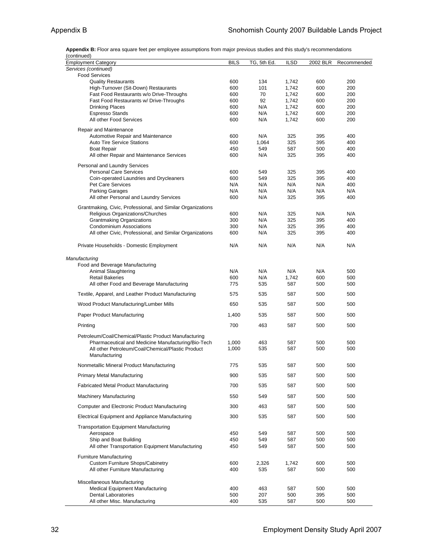**Appendix B:** Floor area square feet per employee assumptions from major previous studies and this study's recommendations (continued)

| $\omega$ ininu $\omega$<br><b>Employment Category</b>                                       | <b>BILS</b> | TG, 5th Ed. | <b>ILSD</b> | 2002 BLR   | Recommended |
|---------------------------------------------------------------------------------------------|-------------|-------------|-------------|------------|-------------|
| Services (continued)                                                                        |             |             |             |            |             |
| <b>Food Services</b>                                                                        |             |             |             |            |             |
| <b>Quality Restaurants</b>                                                                  | 600         | 134         | 1,742       | 600        | 200         |
| High-Turnover (Sit-Down) Restaurants                                                        | 600         | 101         | 1,742       | 600        | 200         |
| Fast Food Restaurants w/o Drive-Throughs                                                    | 600         | 70          | 1,742       | 600        | 200         |
| Fast Food Restaurants w/ Drive-Throughs                                                     | 600         | 92          | 1,742       | 600        | 200         |
| <b>Drinking Places</b>                                                                      | 600         | N/A         | 1,742       | 600        | 200         |
| <b>Espresso Stands</b><br>All other Food Services                                           | 600<br>600  | N/A<br>N/A  | 1,742       | 600<br>600 | 200<br>200  |
|                                                                                             |             |             | 1,742       |            |             |
| Repair and Maintenance                                                                      |             |             |             |            |             |
| Automotive Repair and Maintenance                                                           | 600         | N/A         | 325         | 395        | 400         |
| <b>Auto Tire Service Stations</b>                                                           | 600         | 1,064       | 325         | 395        | 400         |
| <b>Boat Repair</b><br>All other Repair and Maintenance Services                             | 450<br>600  | 549<br>N/A  | 587<br>325  | 500<br>395 | 400<br>400  |
|                                                                                             |             |             |             |            |             |
| Personal and Laundry Services                                                               |             |             |             |            |             |
| <b>Personal Care Services</b>                                                               | 600         | 549         | 325         | 395        | 400         |
| Coin-operated Laundries and Drycleaners                                                     | 600         | 549         | 325         | 395        | 400         |
| Pet Care Services                                                                           | N/A<br>N/A  | N/A<br>N/A  | N/A<br>N/A  | N/A<br>N/A | 400<br>N/A  |
| <b>Parking Garages</b><br>All other Personal and Laundry Services                           | 600         | N/A         | 325         | 395        | 400         |
|                                                                                             |             |             |             |            |             |
| Grantmaking, Civic, Professional, and Similar Organizations                                 |             |             |             |            |             |
| Religious Organizations/Churches                                                            | 600         | N/A         | 325         | N/A        | N/A         |
| <b>Grantmaking Organizations</b>                                                            | 300         | N/A         | 325         | 395        | 400         |
| <b>Condominium Associations</b><br>All other Civic, Professional, and Similar Organizations | 300<br>600  | N/A<br>N/A  | 325<br>325  | 395<br>395 | 400<br>400  |
|                                                                                             |             |             |             |            |             |
| Private Households - Domestic Employment                                                    | N/A         | N/A         | N/A         | N/A        | N/A         |
|                                                                                             |             |             |             |            |             |
| Manufacturing                                                                               |             |             |             |            |             |
| Food and Beverage Manufacturing<br>Animal Slaughtering                                      | N/A         | N/A         | N/A         | N/A        | 500         |
| <b>Retail Bakeries</b>                                                                      | 600         | N/A         | 1,742       | 600        | 500         |
| All other Food and Beverage Manufacturing                                                   | 775         | 535         | 587         | 500        | 500         |
| Textile, Apparel, and Leather Product Manufacturing                                         | 575         | 535         | 587         | 500        | 500         |
|                                                                                             |             |             |             |            | 500         |
| Wood Product Manufacturing/Lumber Mills                                                     | 650         | 535         | 587         | 500        |             |
| Paper Product Manufacturing                                                                 | 1,400       | 535         | 587         | 500        | 500         |
| Printing                                                                                    | 700         | 463         | 587         | 500        | 500         |
| Petroleum/Coal/Chemical/Plastic Product Manufacturing                                       |             |             |             |            |             |
| Pharmaceutical and Medicine Manufacturing/Bio-Tech                                          | 1,000       | 463         | 587         | 500        | 500         |
| All other Petroleum/Coal/Chemical/Plastic Product                                           | 1,000       | 535         | 587         | 500        | 500         |
| Manufacturing                                                                               |             |             |             |            |             |
| Nonmetallic Mineral Product Manufacturing                                                   | 775         | 535         | 587         | 500        | 500         |
| <b>Primary Metal Manufacturing</b>                                                          | 900         | 535         | 587         | 500        | 500         |
| <b>Fabricated Metal Product Manufacturing</b>                                               | 700         | 535         | 587         | 500        | 500         |
| <b>Machinery Manufacturing</b>                                                              | 550         | 549         | 587         | 500        | 500         |
| Computer and Electronic Product Manufacturing                                               | 300         | 463         | 587         | 500        | 500         |
| Electrical Equipment and Appliance Manufacturing                                            | 300         | 535         | 587         | 500        | 500         |
| <b>Transportation Equipment Manufacturing</b>                                               |             |             |             |            |             |
| Aerospace                                                                                   | 450         | 549         | 587         | 500        | 500         |
| Ship and Boat Building                                                                      | 450         | 549         | 587         | 500        | 500         |
| All other Transportation Equipment Manufacturing                                            | 450         | 549         | 587         | 500        | 500         |
| <b>Furniture Manufacturing</b>                                                              |             |             |             |            |             |
| <b>Custom Furniture Shops/Cabinetry</b>                                                     | 600         | 2,326       | 1,742       | 600        | 500         |
| All other Furniture Manufacturing                                                           | 400         | 535         | 587         | 500        | 500         |
|                                                                                             |             |             |             |            |             |
| Miscellaneous Manufacturing                                                                 |             |             |             |            |             |
| <b>Medical Equipment Manufacturing</b>                                                      | 400         | 463         | 587         | 500        | 500         |
| <b>Dental Laboratories</b>                                                                  | 500         | 207         | 500         | 395        | 500         |
| All other Misc. Manufacturing                                                               | 400         | 535         | 587         | 500        | 500         |